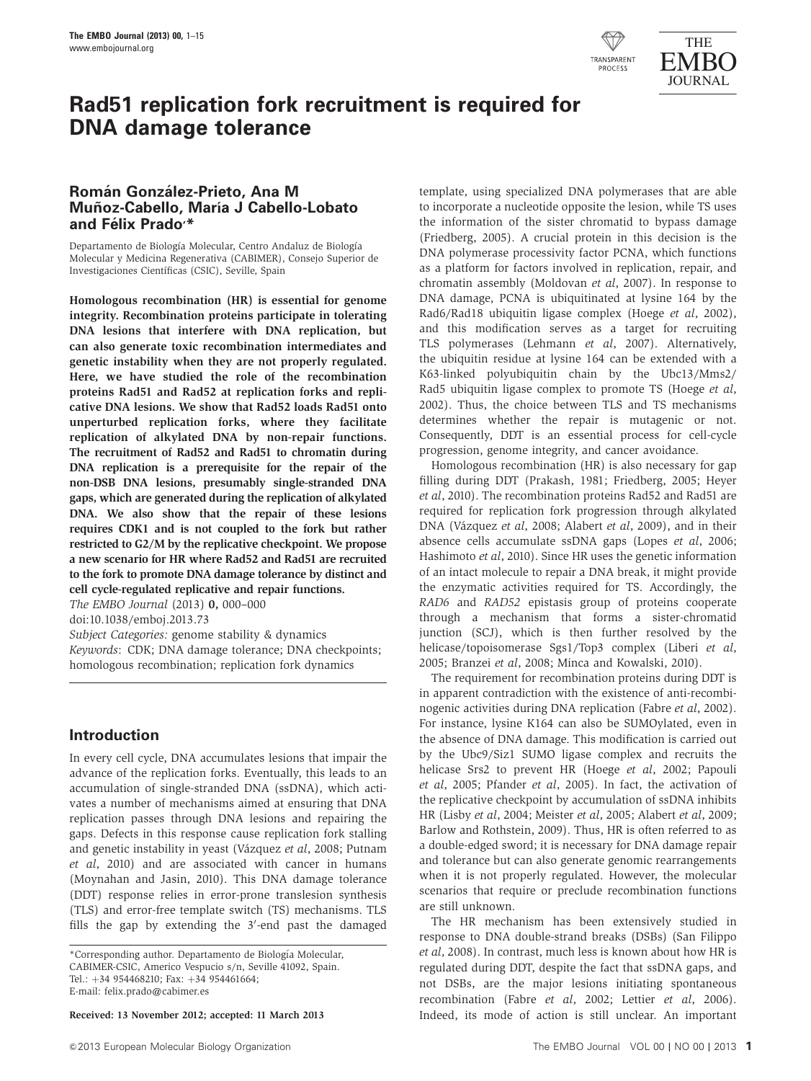PROCESS



# **Rad51 replication fork recruitment is required for DNA damage tolerance**

## **Román González-Prieto, Ana M Mun˜ oz-Cabello, Mar**ı´**a J Cabello-Lobato** and Félix Prado<sup>\*</sup>

Departamento de Biología Molecular, Centro Andaluz de Biología Molecular y Medicina Regenerativa (CABIMER), Consejo Superior de Investigaciones Científicas (CSIC), Seville, Spain

Homologous recombination (HR) is essential for genome integrity. Recombination proteins participate in tolerating DNA lesions that interfere with DNA replication, but can also generate toxic recombination intermediates and genetic instability when they are not properly regulated. Here, we have studied the role of the recombination proteins Rad51 and Rad52 at replication forks and replicative DNA lesions. We show that Rad52 loads Rad51 onto unperturbed replication forks, where they facilitate replication of alkylated DNA by non-repair functions. The recruitment of Rad52 and Rad51 to chromatin during DNA replication is a prerequisite for the repair of the non-DSB DNA lesions, presumably single-stranded DNA gaps, which are generated during the replication of alkylated DNA. We also show that the repair of these lesions requires CDK1 and is not coupled to the fork but rather restricted to G2/M by the replicative checkpoint. We propose a new scenario for HR where Rad52 and Rad51 are recruited to the fork to promote DNA damage tolerance by distinct and cell cycle-regulated replicative and repair functions.

The EMBO Journal (2013) 0, 000–000

doi:[10.1038/emboj.2013.73](http://dx.doi.org/10.1038/emboj.2013.73)

Subject Categories: genome stability & dynamics Keywords: CDK; DNA damage tolerance; DNA checkpoints; homologous recombination; replication fork dynamics

## **Introduction**

In every cell cycle, DNA accumulates lesions that impair the advance of the replication forks. Eventually, this leads to an accumulation of single-stranded DNA (ssDNA), which activates a number of mechanisms aimed at ensuring that DNA replication passes through DNA lesions and repairing the gaps. Defects in this response cause replication fork stalling and genetic instability in yeast (Vázquez et al, 2008; [Putnam](#page-14-0) et al[, 2010\)](#page-14-0) and are associated with cancer in humans [\(Moynahan and Jasin, 2010](#page-13-0)). This DNA damage tolerance (DDT) response relies in error-prone translesion synthesis (TLS) and error-free template switch (TS) mechanisms. TLS fills the gap by extending the  $3'$ -end past the damaged

Received: 13 November 2012; accepted: 11 March 2013

template, using specialized DNA polymerases that are able to incorporate a nucleotide opposite the lesion, while TS uses the information of the sister chromatid to bypass damage [\(Friedberg, 2005](#page-13-0)). A crucial protein in this decision is the DNA polymerase processivity factor PCNA, which functions as a platform for factors involved in replication, repair, and chromatin assembly ([Moldovan](#page-13-0) et al, 2007). In response to DNA damage, PCNA is ubiquitinated at lysine 164 by the Rad6/Rad18 ubiquitin ligase complex (Hoege et al[, 2002](#page-13-0)), and this modification serves as a target for recruiting TLS polymerases [\(Lehmann](#page-13-0) et al, 2007). Alternatively, the ubiquitin residue at lysine 164 can be extended with a K63-linked polyubiquitin chain by the Ubc13/Mms2/ Rad5 ubiquitin ligase complex to promote TS ([Hoege](#page-13-0) et al, [2002](#page-13-0)). Thus, the choice between TLS and TS mechanisms determines whether the repair is mutagenic or not. Consequently, DDT is an essential process for cell-cycle progression, genome integrity, and cancer avoidance.

Homologous recombination (HR) is also necessary for gap filling during DDT ([Prakash, 1981; Friedberg, 2005; Heyer](#page-13-0) et al[, 2010\)](#page-13-0). The recombination proteins Rad52 and Rad51 are required for replication fork progression through alkylated DNA (Vázquez et al, 2008; [Alabert](#page-13-0) et al, 2009), and in their absence cells accumulate ssDNA gaps (Lopes et al[, 2006;](#page-13-0) [Hashimoto](#page-13-0) et al, 2010). Since HR uses the genetic information of an intact molecule to repair a DNA break, it might provide the enzymatic activities required for TS. Accordingly, the RAD6 and RAD52 epistasis group of proteins cooperate through a mechanism that forms a sister-chromatid junction (SCJ), which is then further resolved by the helicase/topoisomerase Sgs1/Top3 complex ([Liberi](#page-13-0) et al, [2005](#page-13-0); [Branzei](#page-13-0) et al, 2008; [Minca and Kowalski, 2010](#page-13-0)).

The requirement for recombination proteins during DDT is in apparent contradiction with the existence of anti-recombinogenic activities during DNA replication (Fabre et al[, 2002](#page-13-0)). For instance, lysine K164 can also be SUMOylated, even in the absence of DNA damage. This modification is carried out by the Ubc9/Siz1 SUMO ligase complex and recruits the helicase Srs2 to prevent HR (Hoege et al[, 2002](#page-13-0); [Papouli](#page-13-0) et al[, 2005; Pfander](#page-13-0) et al, 2005). In fact, the activation of the replicative checkpoint by accumulation of ssDNA inhibits HR (Lisby et al[, 2004](#page-13-0); [Meister](#page-13-0) et al, 2005; [Alabert](#page-13-0) et al, 2009; [Barlow and Rothstein, 2009](#page-13-0)). Thus, HR is often referred to as a double-edged sword; it is necessary for DNA damage repair and tolerance but can also generate genomic rearrangements when it is not properly regulated. However, the molecular scenarios that require or preclude recombination functions are still unknown.

The HR mechanism has been extensively studied in response to DNA double-strand breaks (DSBs) [\(San Filippo](#page-14-0) et al[, 2008](#page-14-0)). In contrast, much less is known about how HR is regulated during DDT, despite the fact that ssDNA gaps, and not DSBs, are the major lesions initiating spontaneous recombination (Fabre et al[, 2002;](#page-13-0) Lettier et al[, 2006](#page-13-0)). Indeed, its mode of action is still unclear. An important

<sup>\*</sup>Corresponding author. Departamento de Biologı´a Molecular, CABIMER-CSIC, Americo Vespucio s/n, Seville 41092, Spain. Tel.:  $+34$  954468210; Fax:  $+34$  954461664; E-mail: [felix.prado@cabimer.es](mailto:felix.prado@cabimer.es)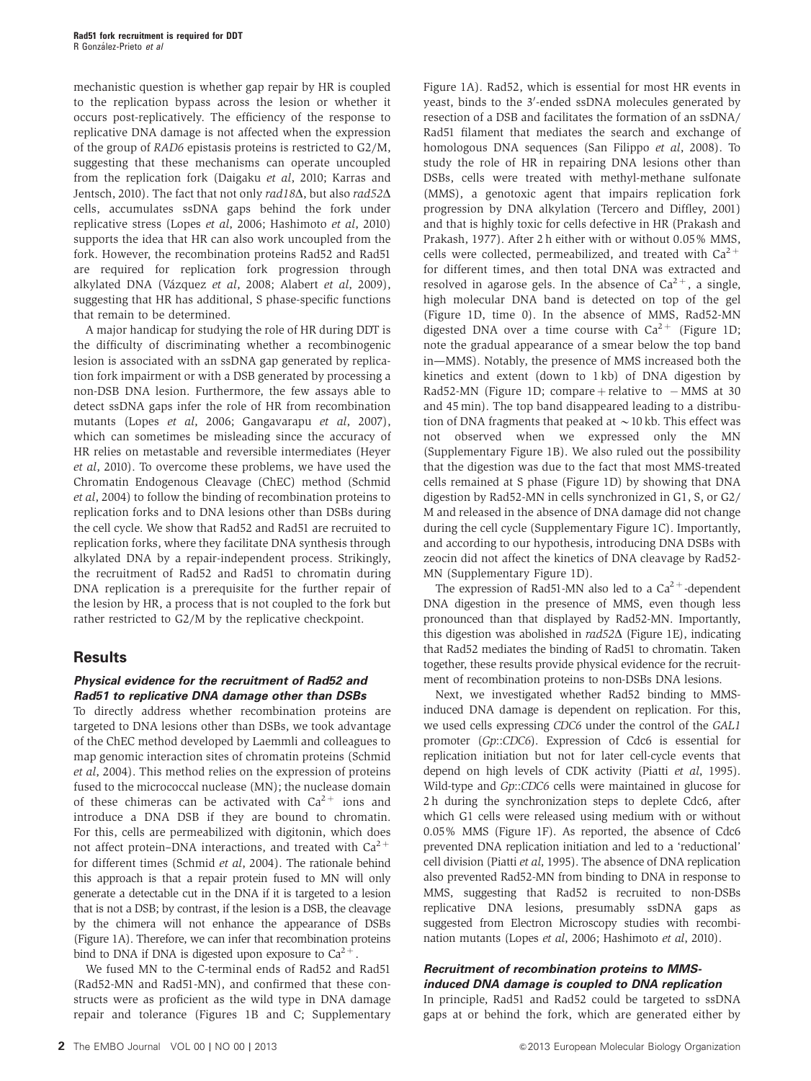mechanistic question is whether gap repair by HR is coupled to the replication bypass across the lesion or whether it occurs post-replicatively. The efficiency of the response to replicative DNA damage is not affected when the expression of the group of RAD6 epistasis proteins is restricted to G2/M, suggesting that these mechanisms can operate uncoupled from the replication fork [\(Daigaku](#page-13-0) et al, 2010; [Karras and](#page-13-0) [Jentsch, 2010\)](#page-13-0). The fact that not only rad18 $\Delta$ , but also rad52 $\Delta$ cells, accumulates ssDNA gaps behind the fork under replicative stress (Lopes et al[, 2006; Hashimoto](#page-13-0) et al, 2010) supports the idea that HR can also work uncoupled from the fork. However, the recombination proteins Rad52 and Rad51 are required for replication fork progression through alkylated DNA (Vázquez et al, 2008; [Alabert](#page-13-0) et al, 2009), suggesting that HR has additional, S phase-specific functions that remain to be determined.

A major handicap for studying the role of HR during DDT is the difficulty of discriminating whether a recombinogenic lesion is associated with an ssDNA gap generated by replication fork impairment or with a DSB generated by processing a non-DSB DNA lesion. Furthermore, the few assays able to detect ssDNA gaps infer the role of HR from recombination mutants (Lopes et al[, 2006; Gangavarapu](#page-13-0) et al, 2007), which can sometimes be misleading since the accuracy of HR relies on metastable and reversible intermediates ([Heyer](#page-13-0) et al[, 2010\)](#page-13-0). To overcome these problems, we have used the Chromatin Endogenous Cleavage (ChEC) method ([Schmid](#page-14-0) et al[, 2004\)](#page-14-0) to follow the binding of recombination proteins to replication forks and to DNA lesions other than DSBs during the cell cycle. We show that Rad52 and Rad51 are recruited to replication forks, where they facilitate DNA synthesis through alkylated DNA by a repair-independent process. Strikingly, the recruitment of Rad52 and Rad51 to chromatin during DNA replication is a prerequisite for the further repair of the lesion by HR, a process that is not coupled to the fork but rather restricted to G2/M by the replicative checkpoint.

## **Results**

## **Physical evidence for the recruitment of Rad52 and Rad51 to replicative DNA damage other than DSBs**

To directly address whether recombination proteins are targeted to DNA lesions other than DSBs, we took advantage of the ChEC method developed by Laemmli and colleagues to map genomic interaction sites of chromatin proteins ([Schmid](#page-14-0) et al[, 2004\)](#page-14-0). This method relies on the expression of proteins fused to the micrococcal nuclease (MN); the nuclease domain of these chimeras can be activated with  $Ca^{2+}$  ions and introduce a DNA DSB if they are bound to chromatin. For this, cells are permeabilized with digitonin, which does not affect protein–DNA interactions, and treated with  $Ca^{2+}$ for different times ([Schmid](#page-14-0) et al, 2004). The rationale behind this approach is that a repair protein fused to MN will only generate a detectable cut in the DNA if it is targeted to a lesion that is not a DSB; by contrast, if the lesion is a DSB, the cleavage by the chimera will not enhance the appearance of DSBs [\(Figure 1A](#page-2-0)). Therefore, we can infer that recombination proteins bind to DNA if DNA is digested upon exposure to  $Ca^{2+}$ .

We fused MN to the C-terminal ends of Rad52 and Rad51 (Rad52-MN and Rad51-MN), and confirmed that these constructs were as proficient as the wild type in DNA damage repair and tolerance [\(Figures 1B and C](#page-2-0); Supplementary Figure 1A). Rad52, which is essential for most HR events in yeast, binds to the 3'-ended ssDNA molecules generated by resection of a DSB and facilitates the formation of an ssDNA/ Rad51 filament that mediates the search and exchange of homologous DNA sequences [\(San Filippo](#page-14-0) et al, 2008). To study the role of HR in repairing DNA lesions other than DSBs, cells were treated with methyl-methane sulfonate (MMS), a genotoxic agent that impairs replication fork progression by DNA alkylation [\(Tercero and Diffley, 2001\)](#page-14-0) and that is highly toxic for cells defective in HR [\(Prakash and](#page-13-0) [Prakash, 1977\)](#page-13-0). After 2 h either with or without 0.05% MMS, cells were collected, permeabilized, and treated with  $Ca^{2+}$ for different times, and then total DNA was extracted and resolved in agarose gels. In the absence of  $Ca^{2+}$ , a single, high molecular DNA band is detected on top of the gel [\(Figure 1D](#page-2-0), time 0). In the absence of MMS, Rad52-MN digested DNA over a time course with  $Ca^{2+}$  [\(Figure 1D;](#page-2-0) note the gradual appearance of a smear below the top band in—MMS). Notably, the presence of MMS increased both the kinetics and extent (down to 1 kb) of DNA digestion by Rad52-MN [\(Figure 1D;](#page-2-0) compare + relative to  $-$  MMS at 30 and 45 min). The top band disappeared leading to a distribution of DNA fragments that peaked at  $\sim$  10 kb. This effect was not observed when we expressed only the MN (Supplementary Figure 1B). We also ruled out the possibility that the digestion was due to the fact that most MMS-treated cells remained at S phase [\(Figure 1D\)](#page-2-0) by showing that DNA digestion by Rad52-MN in cells synchronized in G1, S, or G2/ M and released in the absence of DNA damage did not change during the cell cycle (Supplementary Figure 1C). Importantly, and according to our hypothesis, introducing DNA DSBs with zeocin did not affect the kinetics of DNA cleavage by Rad52- MN (Supplementary Figure 1D).

The expression of Rad51-MN also led to a  $Ca^{2+}$ -dependent DNA digestion in the presence of MMS, even though less pronounced than that displayed by Rad52-MN. Importantly, this digestion was abolished in  $rad52\Delta$  [\(Figure 1E\)](#page-2-0), indicating that Rad52 mediates the binding of Rad51 to chromatin. Taken together, these results provide physical evidence for the recruitment of recombination proteins to non-DSBs DNA lesions.

Next, we investigated whether Rad52 binding to MMSinduced DNA damage is dependent on replication. For this, we used cells expressing CDC6 under the control of the GAL1 promoter (Gp::CDC6). Expression of Cdc6 is essential for replication initiation but not for later cell-cycle events that depend on high levels of CDK activity (Piatti et al[, 1995](#page-13-0)). Wild-type and *Gp*::*CDC6* cells were maintained in glucose for 2 h during the synchronization steps to deplete Cdc6, after which G1 cells were released using medium with or without 0.05% MMS ([Figure 1F](#page-2-0)). As reported, the absence of Cdc6 prevented DNA replication initiation and led to a 'reductional' cell division (Piatti et al[, 1995\)](#page-13-0). The absence of DNA replication also prevented Rad52-MN from binding to DNA in response to MMS, suggesting that Rad52 is recruited to non-DSBs replicative DNA lesions, presumably ssDNA gaps as suggested from Electron Microscopy studies with recombination mutants (Lopes et al[, 2006; Hashimoto](#page-13-0) et al, 2010).

### **Recruitment of recombination proteins to MMSinduced DNA damage is coupled to DNA replication**

In principle, Rad51 and Rad52 could be targeted to ssDNA gaps at or behind the fork, which are generated either by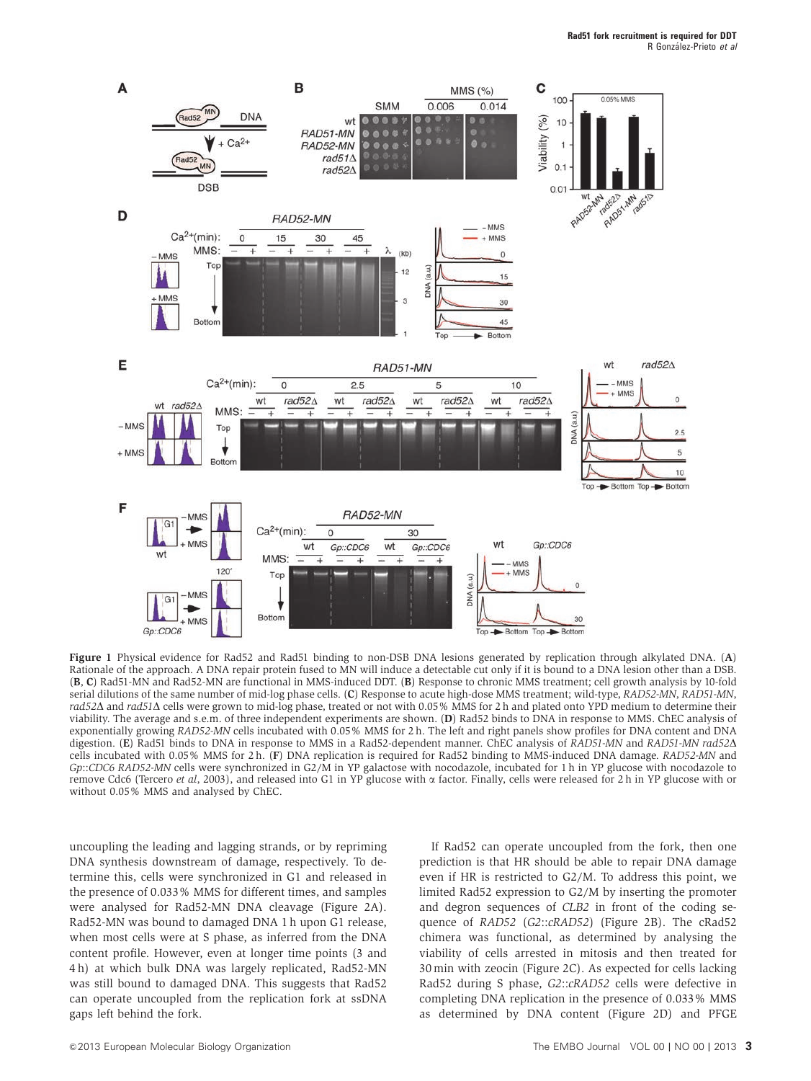<span id="page-2-0"></span>

Figure 1 Physical evidence for Rad52 and Rad51 binding to non-DSB DNA lesions generated by replication through alkylated DNA. (A) Rationale of the approach. A DNA repair protein fused to MN will induce a detectable cut only if it is bound to a DNA lesion other than a DSB. (B, C) Rad51-MN and Rad52-MN are functional in MMS-induced DDT. (B) Response to chronic MMS treatment; cell growth analysis by 10-fold serial dilutions of the same number of mid-log phase cells. (C) Response to acute high-dose MMS treatment; wild-type, RAD52-MN, RAD51-MN, rad52 $\Delta$  and rad51 $\Delta$  cells were grown to mid-log phase, treated or not with 0.05% MMS for 2 h and plated onto YPD medium to determine their viability. The average and s.e.m. of three independent experiments are shown. (D) Rad52 binds to DNA in response to MMS. ChEC analysis of exponentially growing RAD52-MN cells incubated with 0.05% MMS for 2 h. The left and right panels show profiles for DNA content and DNA digestion. (E) Rad51 binds to DNA in response to MMS in a Rad52-dependent manner. ChEC analysis of RAD51-MN and RAD51-MN rad52 $\Delta$ cells incubated with 0.05% MMS for 2 h. (F) DNA replication is required for Rad52 binding to MMS-induced DNA damage. RAD52-MN and Gp::CDC6 RAD52-MN cells were synchronized in G2/M in YP galactose with nocodazole, incubated for 1 h in YP glucose with nocodazole to remove Cdc6 ([Tercero](#page-14-0) et al, 2003), and released into G1 in YP glucose with  $\alpha$  factor. Finally, cells were released for 2 h in YP glucose with or without 0.05% MMS and analysed by ChEC.

uncoupling the leading and lagging strands, or by repriming DNA synthesis downstream of damage, respectively. To determine this, cells were synchronized in G1 and released in the presence of 0.033% MMS for different times, and samples were analysed for Rad52-MN DNA cleavage ([Figure 2A](#page-3-0)). Rad52-MN was bound to damaged DNA 1 h upon G1 release, when most cells were at S phase, as inferred from the DNA content profile. However, even at longer time points (3 and 4 h) at which bulk DNA was largely replicated, Rad52-MN was still bound to damaged DNA. This suggests that Rad52 can operate uncoupled from the replication fork at ssDNA gaps left behind the fork.

If Rad52 can operate uncoupled from the fork, then one prediction is that HR should be able to repair DNA damage even if HR is restricted to G2/M. To address this point, we limited Rad52 expression to G2/M by inserting the promoter and degron sequences of CLB2 in front of the coding sequence of RAD52 (G2::cRAD52) [\(Figure 2B](#page-3-0)). The cRad52 chimera was functional, as determined by analysing the viability of cells arrested in mitosis and then treated for 30 min with zeocin ([Figure 2C\)](#page-3-0). As expected for cells lacking Rad52 during S phase, G2::cRAD52 cells were defective in completing DNA replication in the presence of 0.033% MMS as determined by DNA content ([Figure 2D\)](#page-3-0) and PFGE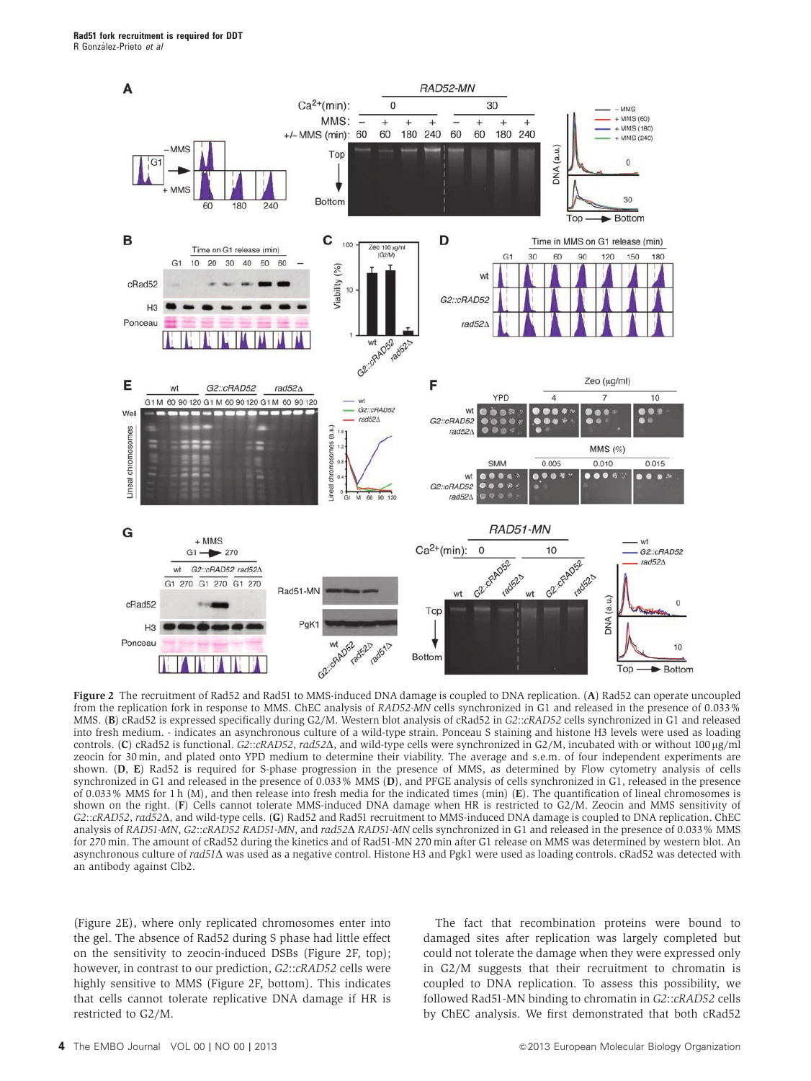<span id="page-3-0"></span>

Figure 2 The recruitment of Rad52 and Rad51 to MMS-induced DNA damage is coupled to DNA replication. (A) Rad52 can operate uncoupled from the replication fork in response to MMS. ChEC analysis of RAD52-MN cells synchronized in G1 and released in the presence of 0.033% MMS. (B) cRad52 is expressed specifically during G2/M. Western blot analysis of cRad52 in G2::cRAD52 cells synchronized in G1 and released into fresh medium. - indicates an asynchronous culture of a wild-type strain. Ponceau S staining and histone H3 levels were used as loading controls. (C) cRad52 is functional. G2::cRAD52, rad52 $\Delta$ , and wild-type cells were synchronized in G2/M, incubated with or without 100 µg/ml zeocin for 30 min, and plated onto YPD medium to determine their viability. The average and s.e.m. of four independent experiments are shown. (D, E) Rad52 is required for S-phase progression in the presence of MMS, as determined by Flow cytometry analysis of cells synchronized in G1 and released in the presence of 0.033% MMS (D), and PFGE analysis of cells synchronized in G1, released in the presence of 0.033% MMS for 1 h (M), and then release into fresh media for the indicated times (min) (E). The quantification of lineal chromosomes is shown on the right. (F) Cells cannot tolerate MMS-induced DNA damage when HR is restricted to G2/M. Zeocin and MMS sensitivity of G2::cRAD52, rad52D, and wild-type cells. (G) Rad52 and Rad51 recruitment to MMS-induced DNA damage is coupled to DNA replication. ChEC analysis of RAD51-MN, G2::cRAD52 RAD51-MN, and rad52 $\Delta$  RAD51-MN cells synchronized in G1 and released in the presence of 0.033% MMS for 270 min. The amount of cRad52 during the kinetics and of Rad51-MN 270 min after G1 release on MMS was determined by western blot. An asynchronous culture of rad51 $\Delta$  was used as a negative control. Histone H3 and Pgk1 were used as loading controls. cRad52 was detected with an antibody against Clb2.

(Figure 2E), where only replicated chromosomes enter into the gel. The absence of Rad52 during S phase had little effect on the sensitivity to zeocin-induced DSBs (Figure 2F, top); however, in contrast to our prediction, G2::cRAD52 cells were highly sensitive to MMS (Figure 2F, bottom). This indicates that cells cannot tolerate replicative DNA damage if HR is restricted to G2/M.

The fact that recombination proteins were bound to damaged sites after replication was largely completed but could not tolerate the damage when they were expressed only in G2/M suggests that their recruitment to chromatin is coupled to DNA replication. To assess this possibility, we followed Rad51-MN binding to chromatin in G2::cRAD52 cells by ChEC analysis. We first demonstrated that both cRad52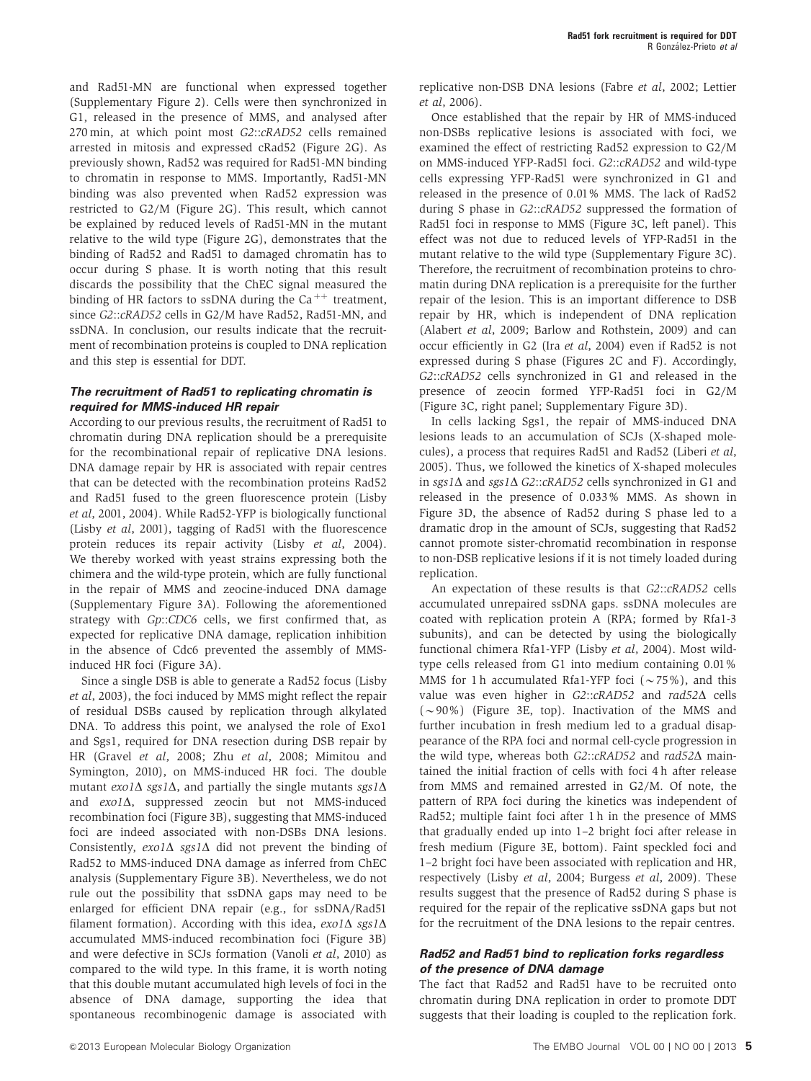and Rad51-MN are functional when expressed together (Supplementary Figure 2). Cells were then synchronized in G1, released in the presence of MMS, and analysed after 270 min, at which point most G2::cRAD52 cells remained arrested in mitosis and expressed cRad52 [\(Figure 2G](#page-3-0)). As previously shown, Rad52 was required for Rad51-MN binding to chromatin in response to MMS. Importantly, Rad51-MN binding was also prevented when Rad52 expression was restricted to G2/M [\(Figure 2G](#page-3-0)). This result, which cannot be explained by reduced levels of Rad51-MN in the mutant relative to the wild type [\(Figure 2G](#page-3-0)), demonstrates that the binding of Rad52 and Rad51 to damaged chromatin has to occur during S phase. It is worth noting that this result discards the possibility that the ChEC signal measured the binding of HR factors to ssDNA during the  $Ca^{++}$  treatment, since G2::cRAD52 cells in G2/M have Rad52, Rad51-MN, and ssDNA. In conclusion, our results indicate that the recruitment of recombination proteins is coupled to DNA replication and this step is essential for DDT.

#### **The recruitment of Rad51 to replicating chromatin is required for MMS-induced HR repair**

According to our previous results, the recruitment of Rad51 to chromatin during DNA replication should be a prerequisite for the recombinational repair of replicative DNA lesions. DNA damage repair by HR is associated with repair centres that can be detected with the recombination proteins Rad52 and Rad51 fused to the green fluorescence protein ([Lisby](#page-13-0) et al[, 2001, 2004\)](#page-13-0). While Rad52-YFP is biologically functional (Lisby et al[, 2001](#page-13-0)), tagging of Rad51 with the fluorescence protein reduces its repair activity (Lisby et al[, 2004](#page-13-0)). We thereby worked with yeast strains expressing both the chimera and the wild-type protein, which are fully functional in the repair of MMS and zeocine-induced DNA damage (Supplementary Figure 3A). Following the aforementioned strategy with Gp::CDC6 cells, we first confirmed that, as expected for replicative DNA damage, replication inhibition in the absence of Cdc6 prevented the assembly of MMSinduced HR foci [\(Figure 3A\)](#page-5-0).

Since a single DSB is able to generate a Rad52 focus ([Lisby](#page-13-0) et al[, 2003](#page-13-0)), the foci induced by MMS might reflect the repair of residual DSBs caused by replication through alkylated DNA. To address this point, we analysed the role of Exo1 and Sgs1, required for DNA resection during DSB repair by HR (Gravel et al[, 2008](#page-13-0); Zhu et al[, 2008](#page-14-0); [Mimitou and](#page-13-0) [Symington, 2010](#page-13-0)), on MMS-induced HR foci. The double mutant exo1 $\Delta$  sgs1 $\Delta$ , and partially the single mutants sgs1 $\Delta$ and  $exol\Delta$ , suppressed zeocin but not MMS-induced recombination foci ([Figure 3B\)](#page-5-0), suggesting that MMS-induced foci are indeed associated with non-DSBs DNA lesions. Consistently,  $exol\Delta$  sgs1 $\Delta$  did not prevent the binding of Rad52 to MMS-induced DNA damage as inferred from ChEC analysis (Supplementary Figure 3B). Nevertheless, we do not rule out the possibility that ssDNA gaps may need to be enlarged for efficient DNA repair (e.g., for ssDNA/Rad51 filament formation). According with this idea,  $exol\Delta$  sgs1 $\Delta$ accumulated MMS-induced recombination foci ([Figure 3B\)](#page-5-0) and were defective in SCJs formation ([Vanoli](#page-14-0) et al, 2010) as compared to the wild type. In this frame, it is worth noting that this double mutant accumulated high levels of foci in the absence of DNA damage, supporting the idea that spontaneous recombinogenic damage is associated with replicative non-DSB DNA lesions (Fabre et al[, 2002; Lettier](#page-13-0) et al[, 2006](#page-13-0)).

Once established that the repair by HR of MMS-induced non-DSBs replicative lesions is associated with foci, we examined the effect of restricting Rad52 expression to G2/M on MMS-induced YFP-Rad51 foci. G2::cRAD52 and wild-type cells expressing YFP-Rad51 were synchronized in G1 and released in the presence of 0.01% MMS. The lack of Rad52 during S phase in G2::cRAD52 suppressed the formation of Rad51 foci in response to MMS [\(Figure 3C](#page-5-0), left panel). This effect was not due to reduced levels of YFP-Rad51 in the mutant relative to the wild type (Supplementary Figure 3C). Therefore, the recruitment of recombination proteins to chromatin during DNA replication is a prerequisite for the further repair of the lesion. This is an important difference to DSB repair by HR, which is independent of DNA replication [\(Alabert](#page-13-0) et al, 2009; [Barlow and Rothstein, 2009](#page-13-0)) and can occur efficiently in G2 (Ira et al[, 2004\)](#page-13-0) even if Rad52 is not expressed during S phase ([Figures 2C and F](#page-3-0)). Accordingly, G2::cRAD52 cells synchronized in G1 and released in the presence of zeocin formed YFP-Rad51 foci in G2/M [\(Figure 3C](#page-5-0), right panel; Supplementary Figure 3D).

In cells lacking Sgs1, the repair of MMS-induced DNA lesions leads to an accumulation of SCJs (X-shaped molecules), a process that requires Rad51 and Rad52 [\(Liberi](#page-13-0) et al, [2005](#page-13-0)). Thus, we followed the kinetics of X-shaped molecules in sgs1 $\Delta$  and sgs1 $\Delta$  G2::cRAD52 cells synchronized in G1 and released in the presence of 0.033% MMS. As shown in [Figure 3D](#page-5-0), the absence of Rad52 during S phase led to a dramatic drop in the amount of SCJs, suggesting that Rad52 cannot promote sister-chromatid recombination in response to non-DSB replicative lesions if it is not timely loaded during replication.

An expectation of these results is that G2::cRAD52 cells accumulated unrepaired ssDNA gaps. ssDNA molecules are coated with replication protein A (RPA; formed by Rfa1-3 subunits), and can be detected by using the biologically functional chimera Rfa1-YFP (Lisby et al[, 2004](#page-13-0)). Most wildtype cells released from G1 into medium containing 0.01% MMS for 1 h accumulated Rfa1-YFP foci ( $\sim$ 75%), and this value was even higher in  $G2::cRAD52$  and  $rad52\Delta$  cells  $({\sim}90\%)$  [\(Figure 3E](#page-5-0), top). Inactivation of the MMS and further incubation in fresh medium led to a gradual disappearance of the RPA foci and normal cell-cycle progression in the wild type, whereas both  $G2::cRAD52$  and  $rad52\Delta$  maintained the initial fraction of cells with foci 4 h after release from MMS and remained arrested in G2/M. Of note, the pattern of RPA foci during the kinetics was independent of Rad52; multiple faint foci after 1 h in the presence of MMS that gradually ended up into 1–2 bright foci after release in fresh medium [\(Figure 3E,](#page-5-0) bottom). Faint speckled foci and 1–2 bright foci have been associated with replication and HR, respectively (Lisby et al[, 2004; Burgess](#page-13-0) et al, 2009). These results suggest that the presence of Rad52 during S phase is required for the repair of the replicative ssDNA gaps but not for the recruitment of the DNA lesions to the repair centres.

#### **Rad52 and Rad51 bind to replication forks regardless of the presence of DNA damage**

The fact that Rad52 and Rad51 have to be recruited onto chromatin during DNA replication in order to promote DDT suggests that their loading is coupled to the replication fork.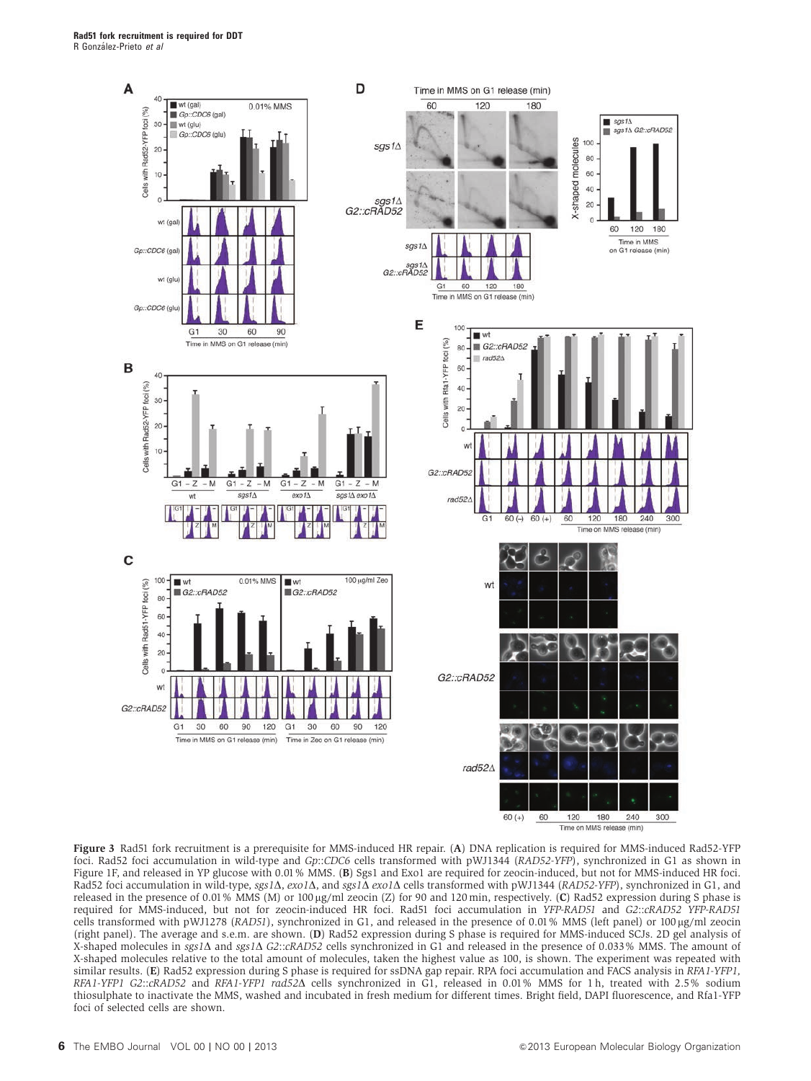<span id="page-5-0"></span>

Figure 3 Rad51 fork recruitment is a prerequisite for MMS-induced HR repair. (A) DNA replication is required for MMS-induced Rad52-YFP foci. Rad52 foci accumulation in wild-type and Gp::CDC6 cells transformed with pWJ1344 (RAD52-YFP), synchronized in G1 as shown in [Figure 1F,](#page-2-0) and released in YP glucose with 0.01% MMS. (B) Sgs1 and Exo1 are required for zeocin-induced, but not for MMS-induced HR foci. Rad52 foci accumulation in wild-type,  $sgs1\Delta$ ,  $exo1\Delta$ , and  $sgs1\Delta$  exo1 $\Delta$  cells transformed with pWJ1344 (RAD52-YFP), synchronized in G1, and released in the presence of 0.01% MMS (M) or 100  $\mu$ g/ml zeocin (Z) for 90 and 120 min, respectively. (C) Rad52 expression during S phase is required for MMS-induced, but not for zeocin-induced HR foci. Rad51 foci accumulation in YFP-RAD51 and G2::cRAD52 YFP-RAD51 cells transformed with pWJ1278 (RAD51), synchronized in G1, and released in the presence of 0.01% MMS (left panel) or  $100 \mu g/ml$  zeocin (right panel). The average and s.e.m. are shown. (D) Rad52 expression during S phase is required for MMS-induced SCJs. 2D gel analysis of X-shaped molecules in sgs1 $\Delta$  and sgs1 $\Delta$  G2::cRAD52 cells synchronized in G1 and released in the presence of 0.033% MMS. The amount of X-shaped molecules relative to the total amount of molecules, taken the highest value as 100, is shown. The experiment was repeated with similar results. (E) Rad52 expression during S phase is required for ssDNA gap repair. RPA foci accumulation and FACS analysis in RFA1-YFP1, RFA1-YFP1 G2::cRAD52 and RFA1-YFP1 rad52 $\Delta$  cells synchronized in G1, released in 0.01% MMS for 1h, treated with 2.5% sodium thiosulphate to inactivate the MMS, washed and incubated in fresh medium for different times. Bright field, DAPI fluorescence, and Rfa1-YFP foci of selected cells are shown.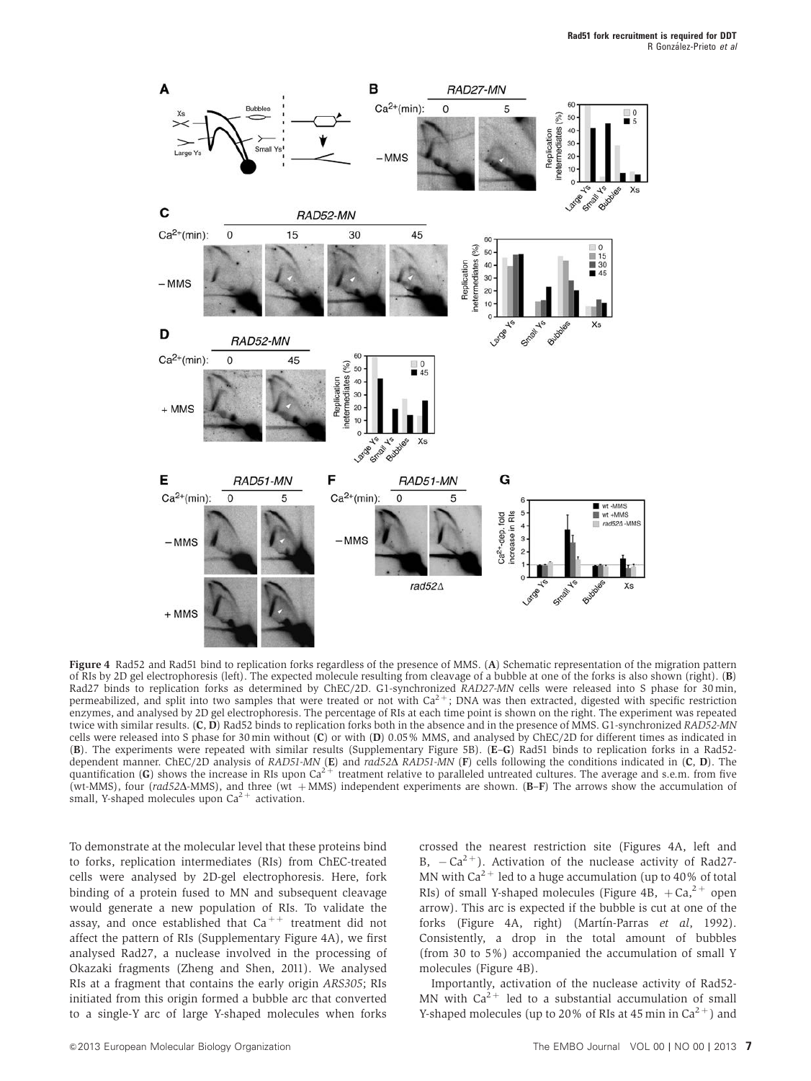<span id="page-6-0"></span>

Figure 4 Rad52 and Rad51 bind to replication forks regardless of the presence of MMS. (A) Schematic representation of the migration pattern of RIs by 2D gel electrophoresis (left). The expected molecule resulting from cleavage of a bubble at one of the forks is also shown (right). (B) Rad27 binds to replication forks as determined by ChEC/2D. G1-synchronized RAD27-MN cells were released into S phase for 30 min, permeabilized, and split into two samples that were treated or not with  $Ca^{2+}$ ; DNA was then extracted, digested with specific restriction enzymes, and analysed by 2D gel electrophoresis. The percentage of RIs at each time point is shown on the right. The experiment was repeated twice with similar results. (C, D) Rad52 binds to replication forks both in the absence and in the presence of MMS. G1-synchronized RAD52-MN cells were released into S phase for 30 min without (C) or with (D) 0.05% MMS, and analysed by ChEC/2D for different times as indicated in (B). The experiments were repeated with similar results (Supplementary Figure 5B). (E–G) Rad51 binds to replication forks in a Rad52 dependent manner. ChEC/2D analysis of RAD51-MN (E) and rad52 $\Delta$  RAD51-MN (F) cells following the conditions indicated in (C, D). The quantification (G) shows the increase in RIs upon  $Ca^{2+}$  treatment relative to paralleled untreated cultures. The average and s.e.m. from five (wt-MMS), four (*rad52* $\Delta$ -MMS), and three (wt +MMS) independent experiments are shown. (**B–F**) The arrows show the accumulation of small, Y-shaped molecules upon Ca<sup>2+</sup> activation.

To demonstrate at the molecular level that these proteins bind to forks, replication intermediates (RIs) from ChEC-treated cells were analysed by 2D-gel electrophoresis. Here, fork binding of a protein fused to MN and subsequent cleavage would generate a new population of RIs. To validate the assay, and once established that  $Ca^{++}$  treatment did not affect the pattern of RIs (Supplementary Figure 4A), we first analysed Rad27, a nuclease involved in the processing of Okazaki fragments ([Zheng and Shen, 2011](#page-14-0)). We analysed RIs at a fragment that contains the early origin ARS305; RIs initiated from this origin formed a bubble arc that converted to a single-Y arc of large Y-shaped molecules when forks crossed the nearest restriction site (Figures 4A, left and B,  $-Ca^{2+}$ ). Activation of the nuclease activity of Rad27-MN with  $Ca^{2+}$  led to a huge accumulation (up to 40% of total RIs) of small Y-shaped molecules (Figure 4B,  $+Ca<sup>2+</sup>$  open arrow). This arc is expected if the bubble is cut at one of the forks (Figure 4A, right) (Martín-Parras et al, 1992). Consistently, a drop in the total amount of bubbles (from 30 to 5%) accompanied the accumulation of small Y molecules (Figure 4B).

Importantly, activation of the nuclease activity of Rad52- MN with  $Ca^{2+}$  led to a substantial accumulation of small Y-shaped molecules (up to 20% of RIs at 45 min in  $Ca^{2+}$ ) and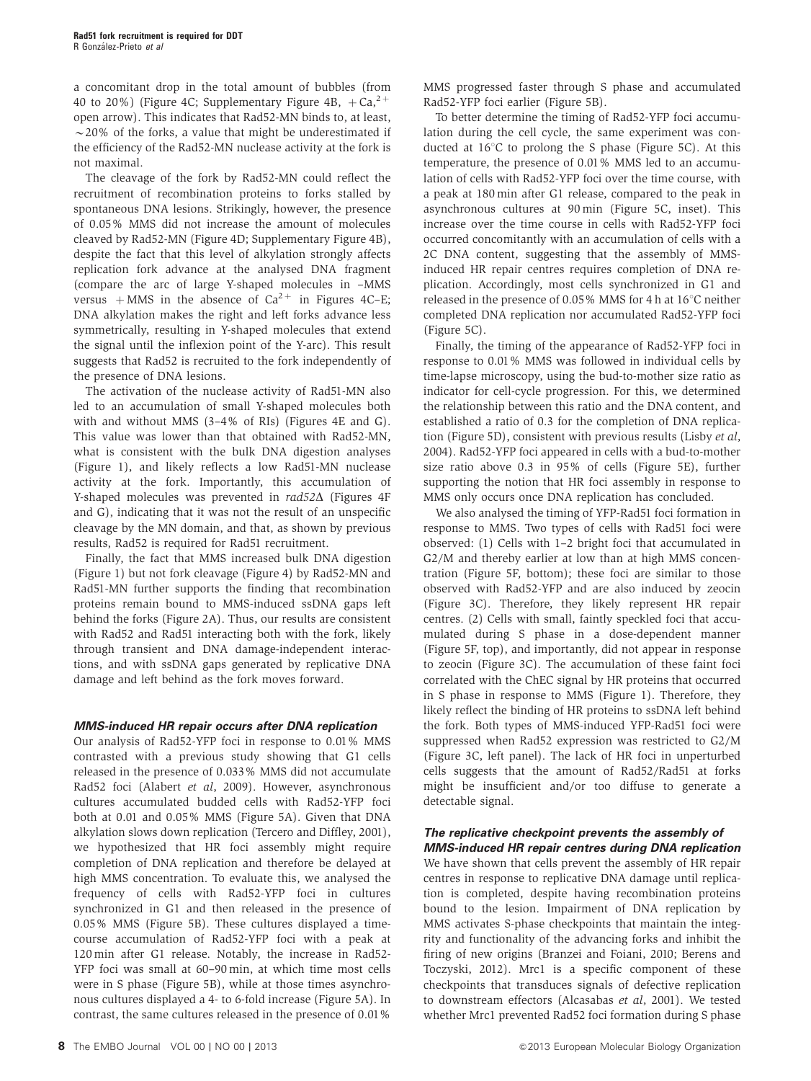a concomitant drop in the total amount of bubbles (from 40 to 20%) ([Figure 4C](#page-6-0); Supplementary Figure 4B,  $+Ca<sup>2+</sup>$ open arrow). This indicates that Rad52-MN binds to, at least,  $\sim$  20% of the forks, a value that might be underestimated if the efficiency of the Rad52-MN nuclease activity at the fork is not maximal.

The cleavage of the fork by Rad52-MN could reflect the recruitment of recombination proteins to forks stalled by spontaneous DNA lesions. Strikingly, however, the presence of 0.05% MMS did not increase the amount of molecules cleaved by Rad52-MN [\(Figure 4D](#page-6-0); Supplementary Figure 4B), despite the fact that this level of alkylation strongly affects replication fork advance at the analysed DNA fragment (compare the arc of large Y-shaped molecules in –MMS versus + MMS in the absence of  $Ca^{2+}$  in [Figures 4C–E;](#page-6-0) DNA alkylation makes the right and left forks advance less symmetrically, resulting in Y-shaped molecules that extend the signal until the inflexion point of the Y-arc). This result suggests that Rad52 is recruited to the fork independently of the presence of DNA lesions.

The activation of the nuclease activity of Rad51-MN also led to an accumulation of small Y-shaped molecules both with and without MMS (3–4% of RIs) ([Figures 4E and G](#page-6-0)). This value was lower than that obtained with Rad52-MN, what is consistent with the bulk DNA digestion analyses [\(Figure 1](#page-2-0)), and likely reflects a low Rad51-MN nuclease activity at the fork. Importantly, this accumulation of Y-shaped molecules was prevented in  $rad52\Delta$  ([Figures 4F](#page-6-0)) [and G](#page-6-0)), indicating that it was not the result of an unspecific cleavage by the MN domain, and that, as shown by previous results, Rad52 is required for Rad51 recruitment.

Finally, the fact that MMS increased bulk DNA digestion [\(Figure 1](#page-2-0)) but not fork cleavage ([Figure 4](#page-6-0)) by Rad52-MN and Rad51-MN further supports the finding that recombination proteins remain bound to MMS-induced ssDNA gaps left behind the forks [\(Figure 2A](#page-3-0)). Thus, our results are consistent with Rad52 and Rad51 interacting both with the fork, likely through transient and DNA damage-independent interactions, and with ssDNA gaps generated by replicative DNA damage and left behind as the fork moves forward.

#### **MMS-induced HR repair occurs after DNA replication**

Our analysis of Rad52-YFP foci in response to 0.01% MMS contrasted with a previous study showing that G1 cells released in the presence of 0.033% MMS did not accumulate Rad52 foci ([Alabert](#page-13-0) et al, 2009). However, asynchronous cultures accumulated budded cells with Rad52-YFP foci both at 0.01 and 0.05% MMS ([Figure 5A](#page-8-0)). Given that DNA alkylation slows down replication ([Tercero and Diffley, 2001](#page-14-0)), we hypothesized that HR foci assembly might require completion of DNA replication and therefore be delayed at high MMS concentration. To evaluate this, we analysed the frequency of cells with Rad52-YFP foci in cultures synchronized in G1 and then released in the presence of 0.05% MMS [\(Figure 5B](#page-8-0)). These cultures displayed a timecourse accumulation of Rad52-YFP foci with a peak at 120 min after G1 release. Notably, the increase in Rad52- YFP foci was small at 60–90 min, at which time most cells were in S phase [\(Figure 5B](#page-8-0)), while at those times asynchronous cultures displayed a 4- to 6-fold increase [\(Figure 5A](#page-8-0)). In contrast, the same cultures released in the presence of 0.01%

MMS progressed faster through S phase and accumulated Rad52-YFP foci earlier [\(Figure 5B](#page-8-0)).

To better determine the timing of Rad52-YFP foci accumulation during the cell cycle, the same experiment was conducted at  $16^{\circ}$ C to prolong the S phase [\(Figure 5C](#page-8-0)). At this temperature, the presence of 0.01% MMS led to an accumulation of cells with Rad52-YFP foci over the time course, with a peak at 180 min after G1 release, compared to the peak in asynchronous cultures at 90 min [\(Figure 5C,](#page-8-0) inset). This increase over the time course in cells with Rad52-YFP foci occurred concomitantly with an accumulation of cells with a 2C DNA content, suggesting that the assembly of MMSinduced HR repair centres requires completion of DNA replication. Accordingly, most cells synchronized in G1 and released in the presence of 0.05% MMS for 4 h at  $16^{\circ}$ C neither completed DNA replication nor accumulated Rad52-YFP foci [\(Figure 5C](#page-8-0)).

Finally, the timing of the appearance of Rad52-YFP foci in response to 0.01% MMS was followed in individual cells by time-lapse microscopy, using the bud-to-mother size ratio as indicator for cell-cycle progression. For this, we determined the relationship between this ratio and the DNA content, and established a ratio of 0.3 for the completion of DNA replication ([Figure 5D\)](#page-8-0), consistent with previous results ([Lisby](#page-13-0) et al, [2004](#page-13-0)). Rad52-YFP foci appeared in cells with a bud-to-mother size ratio above 0.3 in 95% of cells ([Figure 5E](#page-8-0)), further supporting the notion that HR foci assembly in response to MMS only occurs once DNA replication has concluded.

We also analysed the timing of YFP-Rad51 foci formation in response to MMS. Two types of cells with Rad51 foci were observed: (1) Cells with 1–2 bright foci that accumulated in G2/M and thereby earlier at low than at high MMS concentration ([Figure 5F,](#page-8-0) bottom); these foci are similar to those observed with Rad52-YFP and are also induced by zeocin [\(Figure 3C\)](#page-5-0). Therefore, they likely represent HR repair centres. (2) Cells with small, faintly speckled foci that accumulated during S phase in a dose-dependent manner [\(Figure 5F,](#page-8-0) top), and importantly, did not appear in response to zeocin ([Figure 3C\)](#page-5-0). The accumulation of these faint foci correlated with the ChEC signal by HR proteins that occurred in S phase in response to MMS [\(Figure 1](#page-2-0)). Therefore, they likely reflect the binding of HR proteins to ssDNA left behind the fork. Both types of MMS-induced YFP-Rad51 foci were suppressed when Rad52 expression was restricted to G2/M [\(Figure 3C](#page-5-0), left panel). The lack of HR foci in unperturbed cells suggests that the amount of Rad52/Rad51 at forks might be insufficient and/or too diffuse to generate a detectable signal.

#### **The replicative checkpoint prevents the assembly of MMS-induced HR repair centres during DNA replication**

We have shown that cells prevent the assembly of HR repair centres in response to replicative DNA damage until replication is completed, despite having recombination proteins bound to the lesion. Impairment of DNA replication by MMS activates S-phase checkpoints that maintain the integrity and functionality of the advancing forks and inhibit the firing of new origins [\(Branzei and Foiani, 2010; Berens and](#page-13-0) [Toczyski, 2012\)](#page-13-0). Mrc1 is a specific component of these checkpoints that transduces signals of defective replication to downstream effectors ([Alcasabas](#page-13-0) et al, 2001). We tested whether Mrc1 prevented Rad52 foci formation during S phase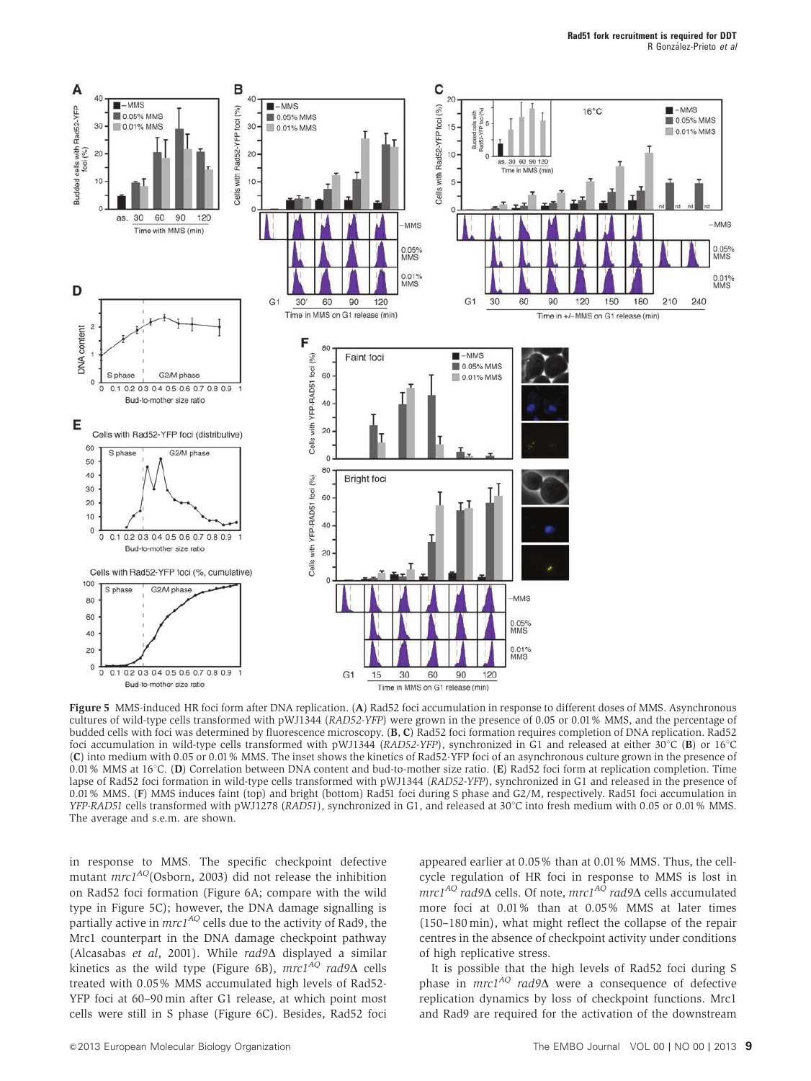<span id="page-8-0"></span>

Figure 5 MMS-induced HR foci form after DNA replication. (A) Rad52 foci accumulation in response to different doses of MMS. Asynchronous cultures of wild-type cells transformed with pWJ1344 (RAD52-YFP) were grown in the presence of 0.05 or 0.01% MMS, and the percentage of budded cells with foci was determined by fluorescence microscopy. (B, C) Rad52 foci formation requires completion of DNA replication. Rad52 foci accumulation in wild-type cells transformed with pWJ1344 (RAD52-YFP), synchronized in G1 and released at either 30°C (B) or 16°C (C) into medium with 0.05 or 0.01% MMS. The inset shows the kinetics of Rad52-YFP foci of an asynchronous culture grown in the presence of 0.01% MMS at 16<sup>°</sup>C. (D) Correlation between DNA content and bud-to-mother size ratio. (E) Rad52 foci form at replication completion. Time lapse of Rad52 foci formation in wild-type cells transformed with pWJ1344 (RAD52-YFP), synchronized in G1 and released in the presence of 0.01% MMS. (F) MMS induces faint (top) and bright (bottom) Rad51 foci during S phase and G2/M, respectively. Rad51 foci accumulation in YFP-RAD51 cells transformed with pWJ1278 (RAD51), synchronized in G1, and released at 30°C into fresh medium with 0.05 or 0.01% MMS. The average and s.e.m. are shown.

in response to MMS. The specific checkpoint defective mutant  $m r c 1^{AQ}$ ([Osborn, 2003](#page-13-0)) did not release the inhibition on Rad52 foci formation [\(Figure 6A](#page-9-0); compare with the wild type in Figure 5C); however, the DNA damage signalling is partially active in  $m r c 1^{AQ}$  cells due to the activity of Rad9, the Mrc1 counterpart in the DNA damage checkpoint pathway [\(Alcasabas](#page-13-0) et al, 2001). While  $rad9\Delta$  displayed a similar kinetics as the wild type ([Figure 6B](#page-9-0)),  $mrc1^{AQ}$  rad9 $\Delta$  cells treated with 0.05% MMS accumulated high levels of Rad52- YFP foci at 60–90 min after G1 release, at which point most cells were still in S phase [\(Figure 6C](#page-9-0)). Besides, Rad52 foci appeared earlier at 0.05% than at 0.01% MMS. Thus, the cellcycle regulation of HR foci in response to MMS is lost in  $mc1^{AQ}$  rad9 $\Delta$  cells. Of note, mrc1<sup> $AQ$ </sup> rad9 $\Delta$  cells accumulated more foci at 0.01% than at 0.05% MMS at later times (150–180 min), what might reflect the collapse of the repair centres in the absence of checkpoint activity under conditions of high replicative stress.

It is possible that the high levels of Rad52 foci during S phase in  $mrc1^{AQ}$  rad $9\Delta$  were a consequence of defective replication dynamics by loss of checkpoint functions. Mrc1 and Rad9 are required for the activation of the downstream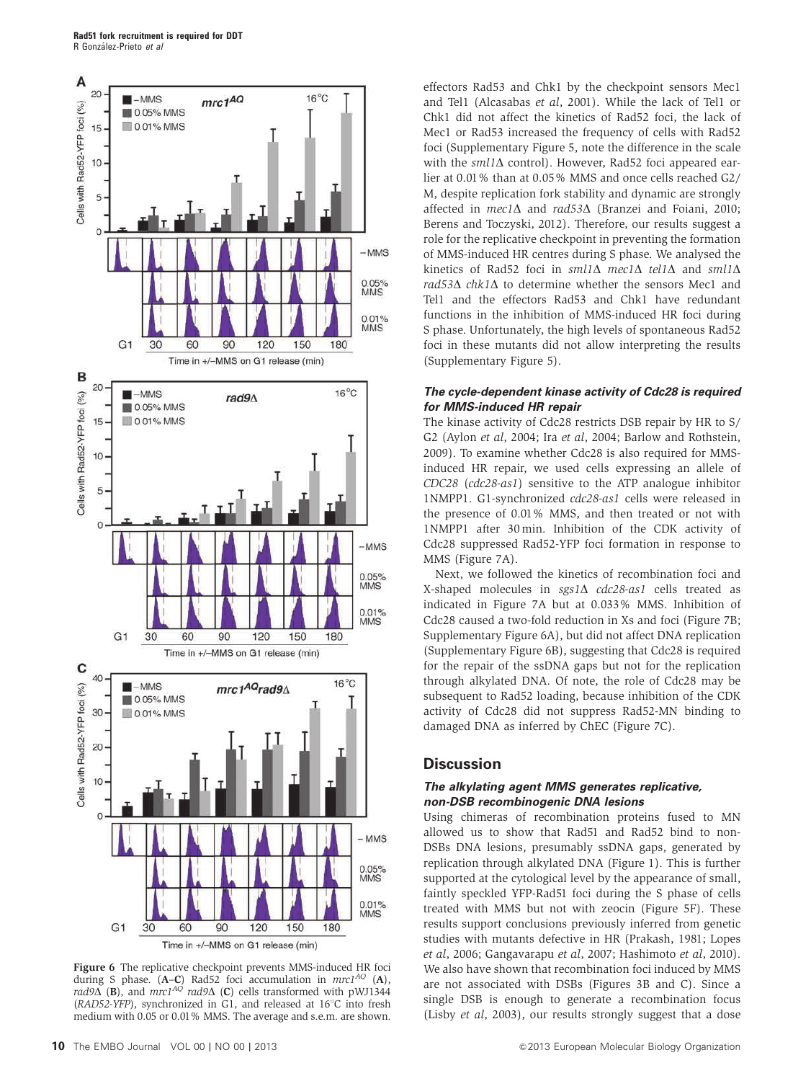<span id="page-9-0"></span>

Figure 6 The replicative checkpoint prevents MMS-induced HR foci during S phase.  $(A-C)$  Rad52 foci accumulation in  $mrc1^{AQ}$  (A), rad9 $\Delta$  (B), and  $mrc1^{AQ}$  rad9 $\Delta$  (C) cells transformed with pWJ1344 (RAD52-YFP), synchronized in G1, and released at  $16^{\circ}$ C into fresh medium with 0.05 or 0.01% MMS. The average and s.e.m. are shown.

effectors Rad53 and Chk1 by the checkpoint sensors Mec1 and Tel1 ([Alcasabas](#page-13-0) et al, 2001). While the lack of Tel1 or Chk1 did not affect the kinetics of Rad52 foci, the lack of Mec1 or Rad53 increased the frequency of cells with Rad52 foci (Supplementary Figure 5, note the difference in the scale with the  $sml1\Delta$  control). However, Rad52 foci appeared earlier at 0.01% than at 0.05% MMS and once cells reached G2/ M, despite replication fork stability and dynamic are strongly affected in  $mec1\Delta$  and  $rad53\Delta$  ([Branzei and Foiani, 2010;](#page-13-0) [Berens and Toczyski, 2012](#page-13-0)). Therefore, our results suggest a role for the replicative checkpoint in preventing the formation of MMS-induced HR centres during S phase. We analysed the kinetics of Rad52 foci in  $sml1\Delta$  mec1 $\Delta$  tel1 $\Delta$  and  $sml1\Delta$ rad53 $\Delta$  chk1 $\Delta$  to determine whether the sensors Mec1 and Tel1 and the effectors Rad53 and Chk1 have redundant functions in the inhibition of MMS-induced HR foci during S phase. Unfortunately, the high levels of spontaneous Rad52 foci in these mutants did not allow interpreting the results (Supplementary Figure 5).

### **The cycle-dependent kinase activity of Cdc28 is required for MMS-induced HR repair**

The kinase activity of Cdc28 restricts DSB repair by HR to S/ G2 (Aylon et al[, 2004;](#page-13-0) Ira et al[, 2004](#page-13-0); [Barlow and Rothstein,](#page-13-0) [2009](#page-13-0)). To examine whether Cdc28 is also required for MMSinduced HR repair, we used cells expressing an allele of CDC28 (cdc28-as1) sensitive to the ATP analogue inhibitor 1NMPP1. G1-synchronized cdc28-as1 cells were released in the presence of 0.01% MMS, and then treated or not with 1NMPP1 after 30 min. Inhibition of the CDK activity of Cdc28 suppressed Rad52-YFP foci formation in response to MMS [\(Figure 7A\)](#page-10-0).

Next, we followed the kinetics of recombination foci and X-shaped molecules in sgs1 $\Delta$  cdc28-as1 cells treated as indicated in [Figure 7A](#page-10-0) but at 0.033% MMS. Inhibition of Cdc28 caused a two-fold reduction in Xs and foci [\(Figure 7B;](#page-10-0) Supplementary Figure 6A), but did not affect DNA replication (Supplementary Figure 6B), suggesting that Cdc28 is required for the repair of the ssDNA gaps but not for the replication through alkylated DNA. Of note, the role of Cdc28 may be subsequent to Rad52 loading, because inhibition of the CDK activity of Cdc28 did not suppress Rad52-MN binding to damaged DNA as inferred by ChEC [\(Figure 7C](#page-10-0)).

## **Discussion**

### **The alkylating agent MMS generates replicative, non-DSB recombinogenic DNA lesions**

Using chimeras of recombination proteins fused to MN allowed us to show that Rad51 and Rad52 bind to non-DSBs DNA lesions, presumably ssDNA gaps, generated by replication through alkylated DNA ([Figure 1\)](#page-2-0). This is further supported at the cytological level by the appearance of small, faintly speckled YFP-Rad51 foci during the S phase of cells treated with MMS but not with zeocin [\(Figure 5F\)](#page-8-0). These results support conclusions previously inferred from genetic studies with mutants defective in HR [\(Prakash, 1981](#page-13-0); [Lopes](#page-13-0) et al[, 2006](#page-13-0); [Gangavarapu](#page-13-0) et al, 2007; [Hashimoto](#page-13-0) et al, 2010). We also have shown that recombination foci induced by MMS are not associated with DSBs ([Figures 3B and C](#page-5-0)). Since a single DSB is enough to generate a recombination focus (Lisby et al[, 2003\)](#page-13-0), our results strongly suggest that a dose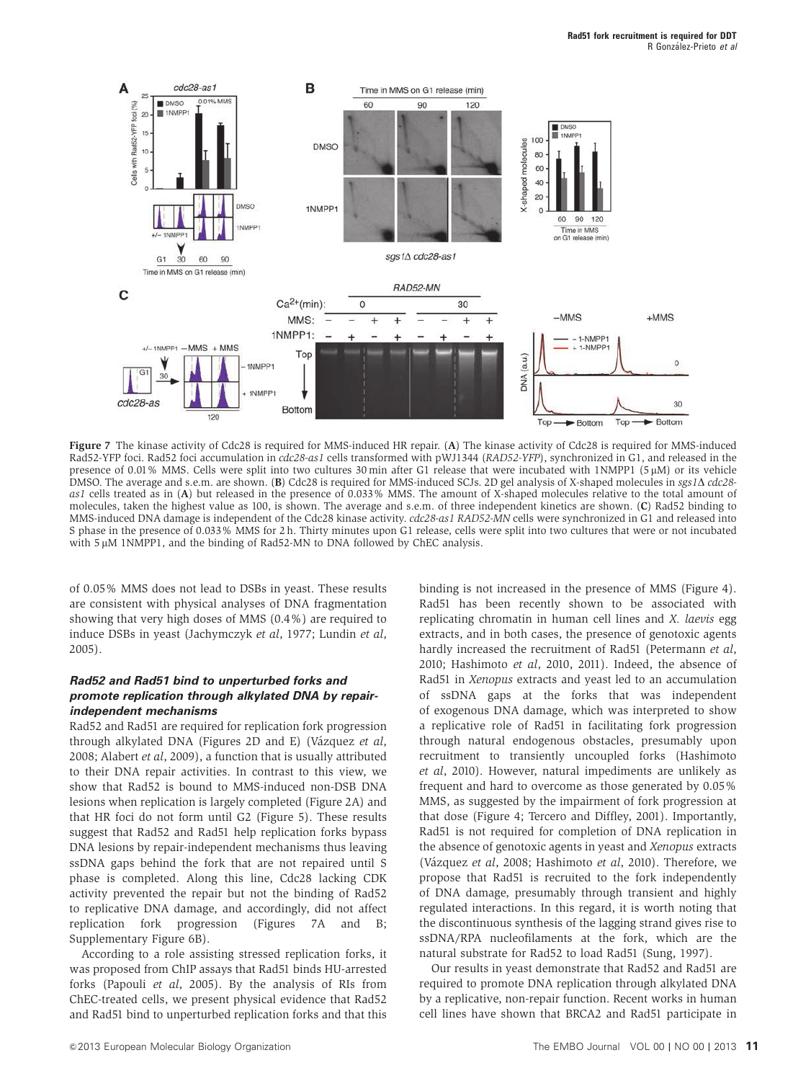<span id="page-10-0"></span>![](_page_10_Figure_1.jpeg)

Figure 7 The kinase activity of Cdc28 is required for MMS-induced HR repair. (A) The kinase activity of Cdc28 is required for MMS-induced Rad52-YFP foci. Rad52 foci accumulation in cdc28-as1 cells transformed with pWJ1344 (RAD52-YFP), synchronized in G1, and released in the presence of 0.01% MMS. Cells were split into two cultures 30 min after G1 release that were incubated with 1NMPP1 (5 µM) or its vehicle DMSO. The average and s.e.m. are shown. (B) Cdc28 is required for MMS-induced SCJs. 2D gel analysis of X-shaped molecules in sgs1 $\Delta$  cdc28as1 cells treated as in (A) but released in the presence of 0.033% MMS. The amount of X-shaped molecules relative to the total amount of molecules, taken the highest value as 100, is shown. The average and s.e.m. of three independent kinetics are shown. (C) Rad52 binding to MMS-induced DNA damage is independent of the Cdc28 kinase activity. cdc28-as1 RAD52-MN cells were synchronized in G1 and released into S phase in the presence of 0.033% MMS for 2 h. Thirty minutes upon G1 release, cells were split into two cultures that were or not incubated with 5 µM 1NMPP1, and the binding of Rad52-MN to DNA followed by ChEC analysis.

of 0.05% MMS does not lead to DSBs in yeast. These results are consistent with physical analyses of DNA fragmentation showing that very high doses of MMS (0.4%) are required to induce DSBs in yeast ([Jachymczyk](#page-13-0) et al, 1977; [Lundin](#page-13-0) et al, [2005](#page-13-0)).

#### **Rad52 and Rad51 bind to unperturbed forks and promote replication through alkylated DNA by repairindependent mechanisms**

Rad52 and Rad51 are required for replication fork progression through alkylated DNA [\(Figures 2D and E\)](#page-3-0) (Vázquez et al, [2008](#page-14-0); [Alabert](#page-13-0) et al, 2009), a function that is usually attributed to their DNA repair activities. In contrast to this view, we show that Rad52 is bound to MMS-induced non-DSB DNA lesions when replication is largely completed [\(Figure 2A](#page-3-0)) and that HR foci do not form until G2 ([Figure 5\)](#page-8-0). These results suggest that Rad52 and Rad51 help replication forks bypass DNA lesions by repair-independent mechanisms thus leaving ssDNA gaps behind the fork that are not repaired until S phase is completed. Along this line, Cdc28 lacking CDK activity prevented the repair but not the binding of Rad52 to replicative DNA damage, and accordingly, did not affect replication fork progression (Figures 7A and B; Supplementary Figure 6B).

According to a role assisting stressed replication forks, it was proposed from ChIP assays that Rad51 binds HU-arrested forks ([Papouli](#page-13-0) et al, 2005). By the analysis of RIs from ChEC-treated cells, we present physical evidence that Rad52 and Rad51 bind to unperturbed replication forks and that this binding is not increased in the presence of MMS ([Figure 4](#page-6-0)). Rad51 has been recently shown to be associated with replicating chromatin in human cell lines and X. laevis egg extracts, and in both cases, the presence of genotoxic agents hardly increased the recruitment of Rad51 [\(Petermann](#page-13-0) et al, [2010;](#page-13-0) Hashimoto et al[, 2010, 2011](#page-13-0)). Indeed, the absence of Rad51 in Xenopus extracts and yeast led to an accumulation of ssDNA gaps at the forks that was independent of exogenous DNA damage, which was interpreted to show a replicative role of Rad51 in facilitating fork progression through natural endogenous obstacles, presumably upon recruitment to transiently uncoupled forks ([Hashimoto](#page-13-0) et al[, 2010](#page-13-0)). However, natural impediments are unlikely as frequent and hard to overcome as those generated by 0.05% MMS, as suggested by the impairment of fork progression at that dose ([Figure 4](#page-6-0); [Tercero and Diffley, 2001\)](#page-14-0). Importantly, Rad51 is not required for completion of DNA replication in the absence of genotoxic agents in yeast and Xenopus extracts (Vázquez et al, 2008; [Hashimoto](#page-13-0) et al, 2010). Therefore, we propose that Rad51 is recruited to the fork independently of DNA damage, presumably through transient and highly regulated interactions. In this regard, it is worth noting that the discontinuous synthesis of the lagging strand gives rise to ssDNA/RPA nucleofilaments at the fork, which are the natural substrate for Rad52 to load Rad51 [\(Sung, 1997\)](#page-14-0).

Our results in yeast demonstrate that Rad52 and Rad51 are required to promote DNA replication through alkylated DNA by a replicative, non-repair function. Recent works in human cell lines have shown that BRCA2 and Rad51 participate in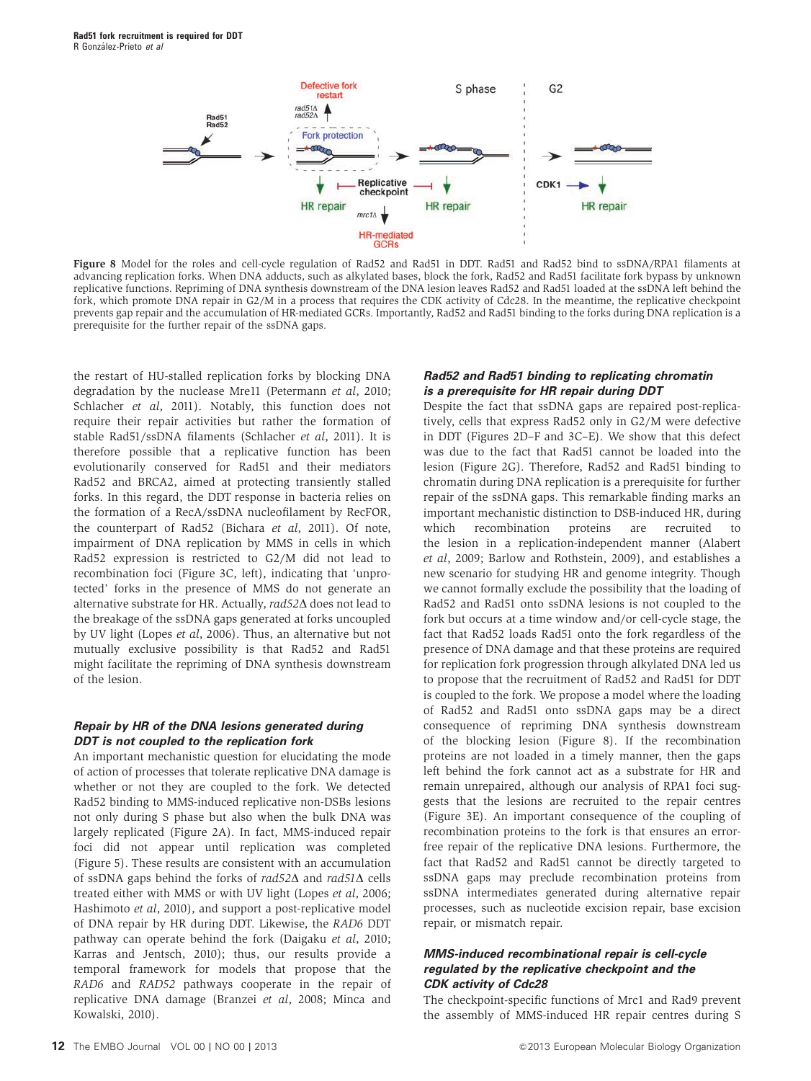Rad51 fork recruitment is required for DDT R González-Prieto et al

![](_page_11_Figure_1.jpeg)

Figure 8 Model for the roles and cell-cycle regulation of Rad52 and Rad51 in DDT. Rad51 and Rad52 bind to ssDNA/RPA1 filaments at advancing replication forks. When DNA adducts, such as alkylated bases, block the fork, Rad52 and Rad51 facilitate fork bypass by unknown replicative functions. Repriming of DNA synthesis downstream of the DNA lesion leaves Rad52 and Rad51 loaded at the ssDNA left behind the fork, which promote DNA repair in G2/M in a process that requires the CDK activity of Cdc28. In the meantime, the replicative checkpoint prevents gap repair and the accumulation of HR-mediated GCRs. Importantly, Rad52 and Rad51 binding to the forks during DNA replication is a prerequisite for the further repair of the ssDNA gaps.

the restart of HU-stalled replication forks by blocking DNA degradation by the nuclease Mre11 ([Petermann](#page-13-0) et al, 2010; [Schlacher](#page-14-0) et al, 2011). Notably, this function does not require their repair activities but rather the formation of stable Rad51/ssDNA filaments [\(Schlacher](#page-14-0) et al, 2011). It is therefore possible that a replicative function has been evolutionarily conserved for Rad51 and their mediators Rad52 and BRCA2, aimed at protecting transiently stalled forks. In this regard, the DDT response in bacteria relies on the formation of a RecA/ssDNA nucleofilament by RecFOR, the counterpart of Rad52 ([Bichara](#page-13-0) et al, 2011). Of note, impairment of DNA replication by MMS in cells in which Rad52 expression is restricted to G2/M did not lead to recombination foci ([Figure 3C](#page-5-0), left), indicating that 'unprotected' forks in the presence of MMS do not generate an alternative substrate for HR. Actually,  $rad52\Delta$  does not lead to the breakage of the ssDNA gaps generated at forks uncoupled by UV light (Lopes et al[, 2006](#page-13-0)). Thus, an alternative but not mutually exclusive possibility is that Rad52 and Rad51 might facilitate the repriming of DNA synthesis downstream of the lesion.

#### **Repair by HR of the DNA lesions generated during DDT is not coupled to the replication fork**

An important mechanistic question for elucidating the mode of action of processes that tolerate replicative DNA damage is whether or not they are coupled to the fork. We detected Rad52 binding to MMS-induced replicative non-DSBs lesions not only during S phase but also when the bulk DNA was largely replicated [\(Figure 2A](#page-3-0)). In fact, MMS-induced repair foci did not appear until replication was completed [\(Figure 5](#page-8-0)). These results are consistent with an accumulation of ssDNA gaps behind the forks of  $rad52\Delta$  and  $rad51\Delta$  cells treated either with MMS or with UV light (Lopes et al[, 2006;](#page-13-0) [Hashimoto](#page-13-0) *et al*, 2010), and support a post-replicative model of DNA repair by HR during DDT. Likewise, the RAD6 DDT pathway can operate behind the fork [\(Daigaku](#page-13-0) et al, 2010; [Karras and Jentsch, 2010](#page-13-0)); thus, our results provide a temporal framework for models that propose that the RAD6 and RAD52 pathways cooperate in the repair of replicative DNA damage [\(Branzei](#page-13-0) et al, 2008; [Minca and](#page-13-0) [Kowalski, 2010](#page-13-0)).

#### **Rad52 and Rad51 binding to replicating chromatin is a prerequisite for HR repair during DDT**

Despite the fact that ssDNA gaps are repaired post-replicatively, cells that express Rad52 only in G2/M were defective in DDT ([Figures 2D–F and 3C–E](#page-3-0)). We show that this defect was due to the fact that Rad51 cannot be loaded into the lesion ([Figure 2G](#page-3-0)). Therefore, Rad52 and Rad51 binding to chromatin during DNA replication is a prerequisite for further repair of the ssDNA gaps. This remarkable finding marks an important mechanistic distinction to DSB-induced HR, during which recombination proteins are recruited to the lesion in a replication-independent manner [\(Alabert](#page-13-0) et al[, 2009; Barlow and Rothstein, 2009](#page-13-0)), and establishes a new scenario for studying HR and genome integrity. Though we cannot formally exclude the possibility that the loading of Rad52 and Rad51 onto ssDNA lesions is not coupled to the fork but occurs at a time window and/or cell-cycle stage, the fact that Rad52 loads Rad51 onto the fork regardless of the presence of DNA damage and that these proteins are required for replication fork progression through alkylated DNA led us to propose that the recruitment of Rad52 and Rad51 for DDT is coupled to the fork. We propose a model where the loading of Rad52 and Rad51 onto ssDNA gaps may be a direct consequence of repriming DNA synthesis downstream of the blocking lesion (Figure 8). If the recombination proteins are not loaded in a timely manner, then the gaps left behind the fork cannot act as a substrate for HR and remain unrepaired, although our analysis of RPA1 foci suggests that the lesions are recruited to the repair centres [\(Figure 3E](#page-5-0)). An important consequence of the coupling of recombination proteins to the fork is that ensures an errorfree repair of the replicative DNA lesions. Furthermore, the fact that Rad52 and Rad51 cannot be directly targeted to ssDNA gaps may preclude recombination proteins from ssDNA intermediates generated during alternative repair processes, such as nucleotide excision repair, base excision repair, or mismatch repair.

#### **MMS-induced recombinational repair is cell-cycle regulated by the replicative checkpoint and the CDK activity of Cdc28**

The checkpoint-specific functions of Mrc1 and Rad9 prevent the assembly of MMS-induced HR repair centres during S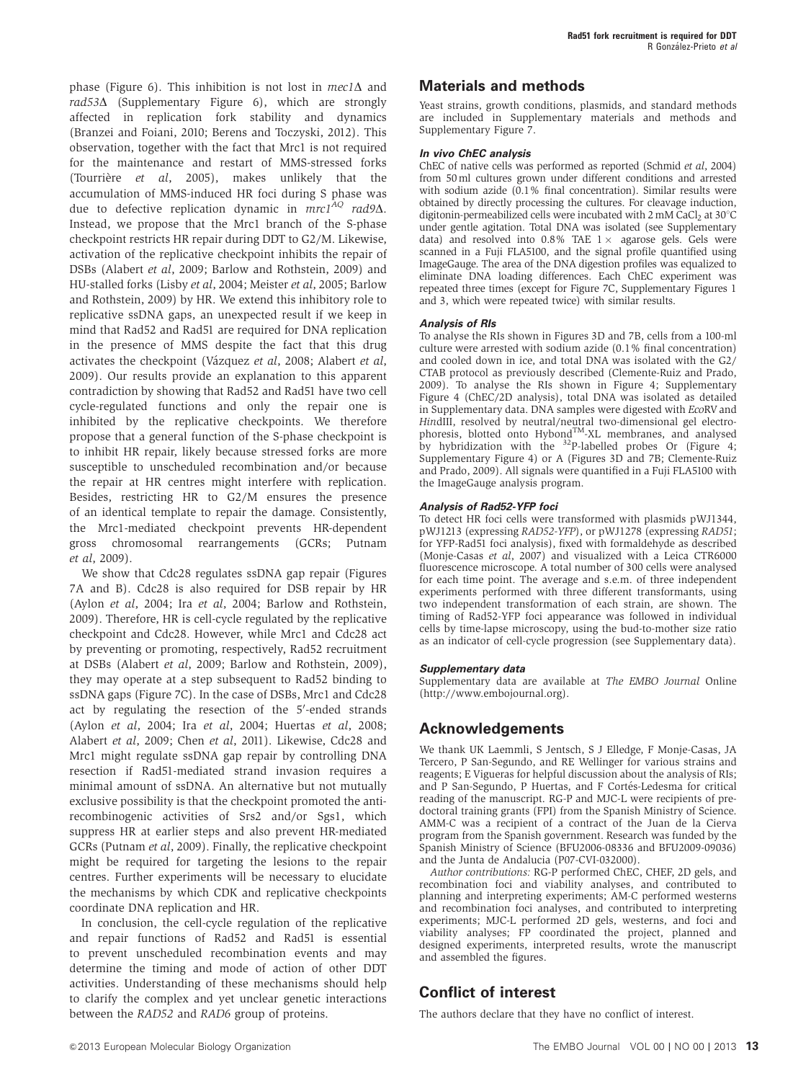phase ([Figure 6](#page-9-0)). This inhibition is not lost in  $mech \Delta$  and  $rad53\Delta$  (Supplementary Figure 6), which are strongly affected in replication fork stability and dynamics [\(Branzei and Foiani, 2010](#page-13-0); [Berens and Toczyski, 2012](#page-13-0)). This observation, together with the fact that Mrc1 is not required for the maintenance and restart of MMS-stressed forks (Tourrière  $et$  al, 2005), makes unlikely that the accumulation of MMS-induced HR foci during S phase was due to defective replication dynamic in  $\overline{m}rc1^{\overline{A}Q}$  rad9 $\Delta$ . Instead, we propose that the Mrc1 branch of the S-phase checkpoint restricts HR repair during DDT to G2/M. Likewise, activation of the replicative checkpoint inhibits the repair of DSBs [\(Alabert](#page-13-0) et al, 2009; [Barlow and Rothstein, 2009](#page-13-0)) and HU-stalled forks (Lisby et al[, 2004; Meister](#page-13-0) et al, 2005; [Barlow](#page-13-0) [and Rothstein, 2009\)](#page-13-0) by HR. We extend this inhibitory role to replicative ssDNA gaps, an unexpected result if we keep in mind that Rad52 and Rad51 are required for DNA replication in the presence of MMS despite the fact that this drug activates the checkpoint (Vázquez et al, 2008; [Alabert](#page-13-0) et al, [2009](#page-13-0)). Our results provide an explanation to this apparent contradiction by showing that Rad52 and Rad51 have two cell cycle-regulated functions and only the repair one is inhibited by the replicative checkpoints. We therefore propose that a general function of the S-phase checkpoint is to inhibit HR repair, likely because stressed forks are more susceptible to unscheduled recombination and/or because the repair at HR centres might interfere with replication. Besides, restricting HR to G2/M ensures the presence of an identical template to repair the damage. Consistently, the Mrc1-mediated checkpoint prevents HR-dependent gross chromosomal rearrangements (GCRs; [Putnam](#page-14-0) et al[, 2009](#page-14-0)).

We show that Cdc28 regulates ssDNA gap repair [\(Figures](#page-10-0) [7A and B](#page-10-0)). Cdc28 is also required for DSB repair by HR (Aylon et al[, 2004](#page-13-0); Ira et al[, 2004; Barlow and Rothstein,](#page-13-0) [2009](#page-13-0)). Therefore, HR is cell-cycle regulated by the replicative checkpoint and Cdc28. However, while Mrc1 and Cdc28 act by preventing or promoting, respectively, Rad52 recruitment at DSBs ([Alabert](#page-13-0) et al, 2009; [Barlow and Rothstein, 2009](#page-13-0)), they may operate at a step subsequent to Rad52 binding to ssDNA gaps [\(Figure 7C](#page-10-0)). In the case of DSBs, Mrc1 and Cdc28 act by regulating the resection of the 5'-ended strands (Aylon et al[, 2004;](#page-13-0) Ira et al[, 2004](#page-13-0); [Huertas](#page-13-0) et al, 2008; [Alabert](#page-13-0) et al, 2009; Chen et al[, 2011\)](#page-13-0). Likewise, Cdc28 and Mrc1 might regulate ssDNA gap repair by controlling DNA resection if Rad51-mediated strand invasion requires a minimal amount of ssDNA. An alternative but not mutually exclusive possibility is that the checkpoint promoted the antirecombinogenic activities of Srs2 and/or Sgs1, which suppress HR at earlier steps and also prevent HR-mediated GCRs [\(Putnam](#page-14-0) et al, 2009). Finally, the replicative checkpoint might be required for targeting the lesions to the repair centres. Further experiments will be necessary to elucidate the mechanisms by which CDK and replicative checkpoints coordinate DNA replication and HR.

In conclusion, the cell-cycle regulation of the replicative and repair functions of Rad52 and Rad51 is essential to prevent unscheduled recombination events and may determine the timing and mode of action of other DDT activities. Understanding of these mechanisms should help to clarify the complex and yet unclear genetic interactions between the RAD52 and RAD6 group of proteins.

## **Materials and methods**

Yeast strains, growth conditions, plasmids, and standard methods are included in Supplementary materials and methods and Supplementary Figure 7.

#### **In vivo ChEC analysis**

ChEC of native cells was performed as reported [\(Schmid](#page-14-0) et al, 2004) from 50 ml cultures grown under different conditions and arrested with sodium azide (0.1% final concentration). Similar results were obtained by directly processing the cultures. For cleavage induction, digitonin-permeabilized cells were incubated with  $2 \text{ mM }$  CaCl<sub>2</sub> at  $30^{\circ}$ C under gentle agitation. Total DNA was isolated (see Supplementary data) and resolved into  $0.8\%$  TAE  $1 \times$  agarose gels. Gels were scanned in a Fuji FLA5100, and the signal profile quantified using ImageGauge. The area of the DNA digestion profiles was equalized to eliminate DNA loading differences. Each ChEC experiment was repeated three times (except for [Figure 7C,](#page-10-0) Supplementary Figures 1 and 3, which were repeated twice) with similar results.

#### **Analysis of RIs**

To analyse the RIs shown in [Figures 3D and 7B,](#page-5-0) cells from a 100-ml culture were arrested with sodium azide (0.1% final concentration) and cooled down in ice, and total DNA was isolated with the G2/ CTAB protocol as previously described ([Clemente-Ruiz and Prado,](#page-13-0) [2009\)](#page-13-0). To analyse the RIs shown in [Figure 4;](#page-6-0) Supplementary Figure 4 (ChEC/2D analysis), total DNA was isolated as detailed in Supplementary data. DNA samples were digested with EcoRV and HindIII, resolved by neutral/neutral two-dimensional gel electrophoresis, blotted onto Hybond<sup>TM</sup>-XL membranes, and analysed by hybridization with the  $32P$ -labelled probes Or ([Figure 4;](#page-6-0) Supplementary Figure 4) or A ([Figures 3D and 7B;](#page-5-0) [Clemente-Ruiz](#page-13-0) [and Prado, 2009\)](#page-13-0). All signals were quantified in a Fuji FLA5100 with the ImageGauge analysis program.

#### **Analysis of Rad52-YFP foci**

To detect HR foci cells were transformed with plasmids pWJ1344, pWJ1213 (expressing RAD52-YFP), or pWJ1278 (expressing RAD51; for YFP-Rad51 foci analysis), fixed with formaldehyde as described [\(Monje-Casas](#page-13-0) et al, 2007) and visualized with a Leica CTR6000 fluorescence microscope. A total number of 300 cells were analysed for each time point. The average and s.e.m. of three independent experiments performed with three different transformants, using two independent transformation of each strain, are shown. The timing of Rad52-YFP foci appearance was followed in individual cells by time-lapse microscopy, using the bud-to-mother size ratio as an indicator of cell-cycle progression (see Supplementary data).

#### **Supplementary data**

Supplementary data are available at The EMBO Journal Online [\(http://www.embojournal.org\)](http://www.embojournal.org).

## **Acknowledgements**

We thank UK Laemmli, S Jentsch, S J Elledge, F Monje-Casas, JA Tercero, P San-Segundo, and RE Wellinger for various strains and reagents; E Vigueras for helpful discussion about the analysis of RIs; and P San-Segundo, P Huertas, and F Cortés-Ledesma for critical reading of the manuscript. RG-P and MJC-L were recipients of predoctoral training grants (FPI) from the Spanish Ministry of Science. AMM-C was a recipient of a contract of the Juan de la Cierva program from the Spanish government. Research was funded by the Spanish Ministry of Science (BFU2006-08336 and BFU2009-09036) and the Junta de Andalucia (P07-CVI-032000).

Author contributions: RG-P performed ChEC, CHEF, 2D gels, and recombination foci and viability analyses, and contributed to planning and interpreting experiments; AM-C performed westerns and recombination foci analyses, and contributed to interpreting experiments; MJC-L performed 2D gels, westerns, and foci and viability analyses; FP coordinated the project, planned and designed experiments, interpreted results, wrote the manuscript and assembled the figures.

## **Conflict of interest**

The authors declare that they have no conflict of interest.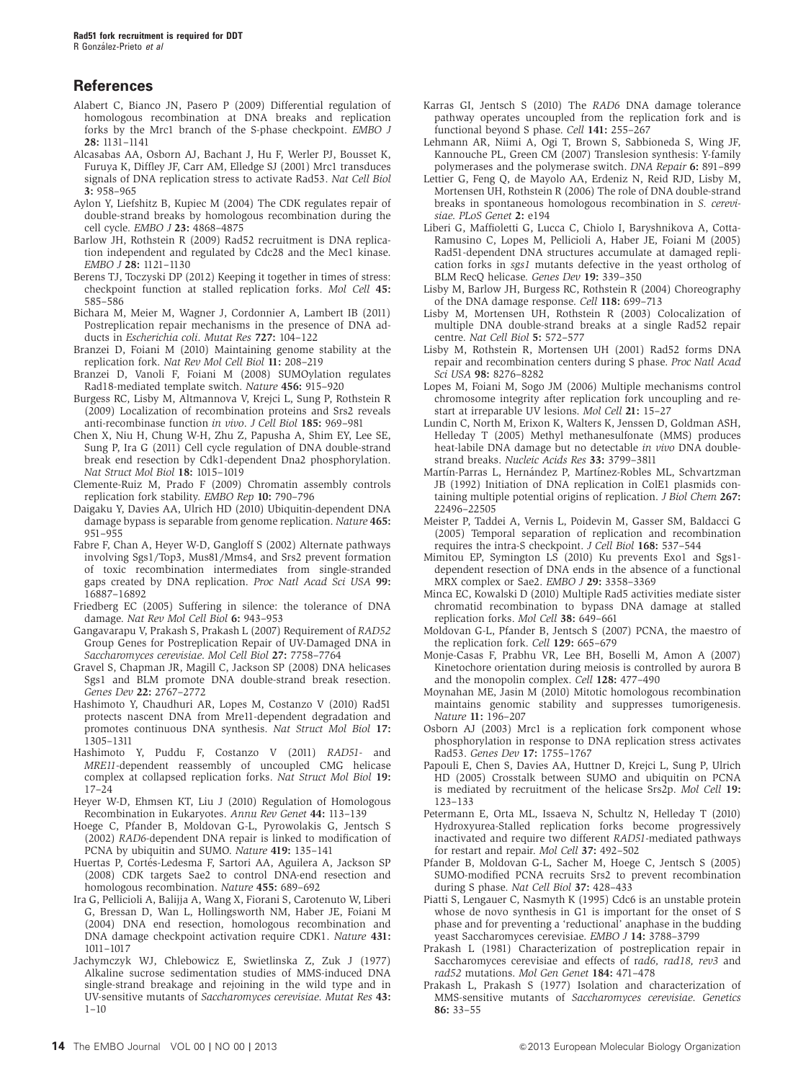## <span id="page-13-0"></span>**References**

- Alabert C, Bianco JN, Pasero P (2009) Differential regulation of homologous recombination at DNA breaks and replication forks by the Mrc1 branch of the S-phase checkpoint. EMBO J 28: 1131–1141
- Alcasabas AA, Osborn AJ, Bachant J, Hu F, Werler PJ, Bousset K, Furuya K, Diffley JF, Carr AM, Elledge SJ (2001) Mrc1 transduces signals of DNA replication stress to activate Rad53. Nat Cell Biol 3: 958–965
- Aylon Y, Liefshitz B, Kupiec M (2004) The CDK regulates repair of double-strand breaks by homologous recombination during the cell cycle. EMBO J 23: 4868–4875
- Barlow JH, Rothstein R (2009) Rad52 recruitment is DNA replication independent and regulated by Cdc28 and the Mec1 kinase. EMBO J 28: 1121–1130
- Berens TJ, Toczyski DP (2012) Keeping it together in times of stress: checkpoint function at stalled replication forks. Mol Cell 45: 585–586
- Bichara M, Meier M, Wagner J, Cordonnier A, Lambert IB (2011) Postreplication repair mechanisms in the presence of DNA adducts in Escherichia coli. Mutat Res 727: 104–122
- Branzei D, Foiani M (2010) Maintaining genome stability at the replication fork. Nat Rev Mol Cell Biol 11: 208–219
- Branzei D, Vanoli F, Foiani M (2008) SUMOylation regulates Rad18-mediated template switch. Nature 456: 915–920
- Burgess RC, Lisby M, Altmannova V, Krejci L, Sung P, Rothstein R (2009) Localization of recombination proteins and Srs2 reveals anti-recombinase function in vivo. J Cell Biol 185: 969–981
- Chen X, Niu H, Chung W-H, Zhu Z, Papusha A, Shim EY, Lee SE, Sung P, Ira G (2011) Cell cycle regulation of DNA double-strand break end resection by Cdk1-dependent Dna2 phosphorylation. Nat Struct Mol Biol 18: 1015–1019
- Clemente-Ruiz M, Prado F (2009) Chromatin assembly controls replication fork stability. EMBO Rep 10: 790–796
- Daigaku Y, Davies AA, Ulrich HD (2010) Ubiquitin-dependent DNA damage bypass is separable from genome replication. Nature 465: 951–955
- Fabre F, Chan A, Heyer W-D, Gangloff S (2002) Alternate pathways involving Sgs1/Top3, Mus81/Mms4, and Srs2 prevent formation of toxic recombination intermediates from single-stranded gaps created by DNA replication. Proc Natl Acad Sci USA 99: 16887–16892
- Friedberg EC (2005) Suffering in silence: the tolerance of DNA damage. Nat Rev Mol Cell Biol 6: 943–953
- Gangavarapu V, Prakash S, Prakash L (2007) Requirement of RAD52 Group Genes for Postreplication Repair of UV-Damaged DNA in Saccharomyces cerevisiae. Mol Cell Biol 27: 7758–7764
- Gravel S, Chapman JR, Magill C, Jackson SP (2008) DNA helicases Sgs1 and BLM promote DNA double-strand break resection. Genes Dev 22: 2767–2772
- Hashimoto Y, Chaudhuri AR, Lopes M, Costanzo V (2010) Rad51 protects nascent DNA from Mre11-dependent degradation and promotes continuous DNA synthesis. Nat Struct Mol Biol 17: 1305–1311
- Hashimoto Y, Puddu F, Costanzo V (2011) RAD51- and MRE11-dependent reassembly of uncoupled CMG helicase complex at collapsed replication forks. Nat Struct Mol Biol 19: 17–24
- Heyer W-D, Ehmsen KT, Liu J (2010) Regulation of Homologous Recombination in Eukaryotes. Annu Rev Genet 44: 113–139
- Hoege C, Pfander B, Moldovan G-L, Pyrowolakis G, Jentsch S (2002) RAD6-dependent DNA repair is linked to modification of PCNA by ubiquitin and SUMO. Nature 419: 135–141
- Huertas P, Cortés-Ledesma F, Sartori AA, Aguilera A, Jackson SP (2008) CDK targets Sae2 to control DNA-end resection and homologous recombination. Nature 455: 689–692
- Ira G, Pellicioli A, Balijja A, Wang X, Fiorani S, Carotenuto W, Liberi G, Bressan D, Wan L, Hollingsworth NM, Haber JE, Foiani M (2004) DNA end resection, homologous recombination and DNA damage checkpoint activation require CDK1. Nature 431: 1011–1017
- Jachymczyk WJ, Chlebowicz E, Swietlinska Z, Zuk J (1977) Alkaline sucrose sedimentation studies of MMS-induced DNA single-strand breakage and rejoining in the wild type and in UV-sensitive mutants of Saccharomyces cerevisiae. Mutat Res 43:  $1 - 10$
- Karras GI, Jentsch S (2010) The RAD6 DNA damage tolerance pathway operates uncoupled from the replication fork and is functional beyond S phase. Cell 141: 255–267
- Lehmann AR, Niimi A, Ogi T, Brown S, Sabbioneda S, Wing JF, Kannouche PL, Green CM (2007) Translesion synthesis: Y-family polymerases and the polymerase switch. DNA Repair 6: 891-899
- Lettier G, Feng Q, de Mayolo AA, Erdeniz N, Reid RJD, Lisby M, Mortensen UH, Rothstein R (2006) The role of DNA double-strand breaks in spontaneous homologous recombination in S. cerevisiae. PLoS Genet 2: e194
- Liberi G, Maffioletti G, Lucca C, Chiolo I, Baryshnikova A, Cotta-Ramusino C, Lopes M, Pellicioli A, Haber JE, Foiani M (2005) Rad51-dependent DNA structures accumulate at damaged replication forks in sgs1 mutants defective in the yeast ortholog of BLM RecQ helicase. Genes Dev 19: 339–350
- Lisby M, Barlow JH, Burgess RC, Rothstein R (2004) Choreography of the DNA damage response. Cell 118: 699–713
- Lisby M, Mortensen UH, Rothstein R (2003) Colocalization of multiple DNA double-strand breaks at a single Rad52 repair centre. Nat Cell Biol 5: 572–577
- Lisby M, Rothstein R, Mortensen UH (2001) Rad52 forms DNA repair and recombination centers during S phase. Proc Natl Acad Sci USA 98: 8276–8282
- Lopes M, Foiani M, Sogo JM (2006) Multiple mechanisms control chromosome integrity after replication fork uncoupling and restart at irreparable UV lesions. Mol Cell 21: 15–27
- Lundin C, North M, Erixon K, Walters K, Jenssen D, Goldman ASH, Helleday T (2005) Methyl methanesulfonate (MMS) produces heat-labile DNA damage but no detectable in vivo DNA doublestrand breaks. Nucleic Acids Res 33: 3799–3811
- Martín-Parras L, Hernández P, Martínez-Robles ML, Schvartzman JB (1992) Initiation of DNA replication in ColE1 plasmids containing multiple potential origins of replication. *J Biol Chem* 267: 22496–22505
- Meister P, Taddei A, Vernis L, Poidevin M, Gasser SM, Baldacci G (2005) Temporal separation of replication and recombination requires the intra-S checkpoint. J Cell Biol 168: 537–544
- Mimitou EP, Symington LS (2010) Ku prevents Exo1 and Sgs1 dependent resection of DNA ends in the absence of a functional MRX complex or Sae2. EMBO J 29: 3358–3369
- Minca EC, Kowalski D (2010) Multiple Rad5 activities mediate sister chromatid recombination to bypass DNA damage at stalled replication forks. Mol Cell 38: 649–661
- Moldovan G-L, Pfander B, Jentsch S (2007) PCNA, the maestro of the replication fork. Cell 129: 665–679
- Monje-Casas F, Prabhu VR, Lee BH, Boselli M, Amon A (2007) Kinetochore orientation during meiosis is controlled by aurora B and the monopolin complex. Cell 128: 477–490
- Moynahan ME, Jasin M (2010) Mitotic homologous recombination maintains genomic stability and suppresses tumorigenesis. Nature 11: 196–207
- Osborn AJ (2003) Mrc1 is a replication fork component whose phosphorylation in response to DNA replication stress activates Rad53. Genes Dev 17: 1755–1767
- Papouli E, Chen S, Davies AA, Huttner D, Krejci L, Sung P, Ulrich HD (2005) Crosstalk between SUMO and ubiquitin on PCNA is mediated by recruitment of the helicase Srs2p. Mol Cell 19: 123–133
- Petermann E, Orta ML, Issaeva N, Schultz N, Helleday T (2010) Hydroxyurea-Stalled replication forks become progressively inactivated and require two different RAD51-mediated pathways for restart and repair. Mol Cell 37: 492–502
- Pfander B, Moldovan G-L, Sacher M, Hoege C, Jentsch S (2005) SUMO-modified PCNA recruits Srs2 to prevent recombination during S phase. Nat Cell Biol 37: 428–433
- Piatti S, Lengauer C, Nasmyth K (1995) Cdc6 is an unstable protein whose de novo synthesis in G1 is important for the onset of S phase and for preventing a 'reductional' anaphase in the budding yeast Saccharomyces cerevisiae. EMBO J 14: 3788–3799
- Prakash L (1981) Characterization of postreplication repair in Saccharomyces cerevisiae and effects of rad6, rad18, rev3 and rad52 mutations. Mol Gen Genet 184: 471–478
- Prakash L, Prakash S (1977) Isolation and characterization of MMS-sensitive mutants of Saccharomyces cerevisiae. Genetics 86: 33–55